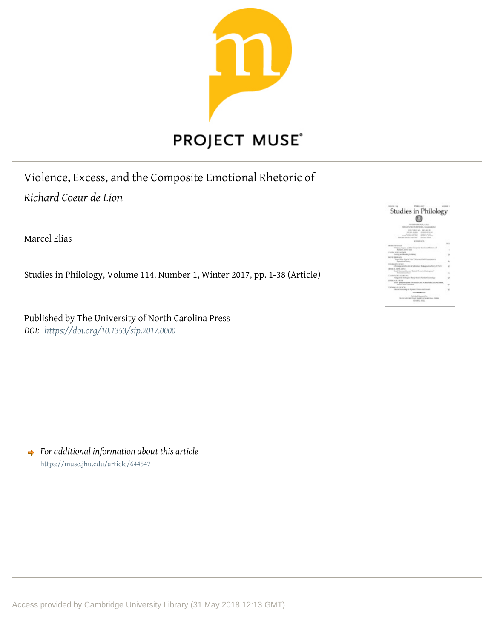

### Violence, Excess, and the Composite Emotional Rhetoric of *Richard Coeur de Lion*

Marcel Elias

Studies in Philology, Volume 114, Number 1, Winter 2017, pp. 1-38 (Article)

Published by The University of North Carolina Press *DOI: <https://doi.org/10.1353/sip.2017.0000>*

Studies in Philology Θ

*For additional information about this article* <https://muse.jhu.edu/article/644547>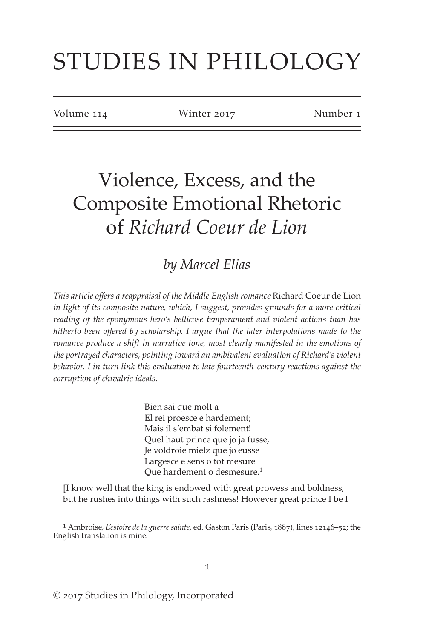# STUDIES IN PHILOLOGY

Volume 114 Winter 2017 Number 1

## Violence, Excess, and the Composite Emotional Rhetoric of *Richard Coeur de Lion*

### *by Marcel Elias*

*This article offers a reappraisal of the Middle English romance* Richard Coeur de Lion *in light of its composite nature, which, I suggest, provides grounds for a more critical reading of the eponymous hero's bellicose temperament and violent actions than has hitherto been offered by scholarship. I argue that the later interpolations made to the*  romance produce a shift in narrative tone, most clearly manifested in the emotions of *the portrayed characters, pointing toward an ambivalent evaluation of Richard's violent behavior. I in turn link this evaluation to late fourteenth-century reactions against the corruption of chivalric ideals*.

> Bien sai que molt a El rei proesce e hardement; Mais il s'embat si folement! Quel haut prince que jo ja fusse, Je voldroie mielz que jo eusse Largesce e sens o tot mesure Que hardement o desmesure.1

[I know well that the king is endowed with great prowess and boldness, but he rushes into things with such rashness! However great prince I be I

1 Ambroise, *L'estoire de la guerre sainte*, ed. Gaston Paris (Paris, 1887), lines 12146–52; the English translation is mine.

© 2017 Studies in Philology, Incorporated

1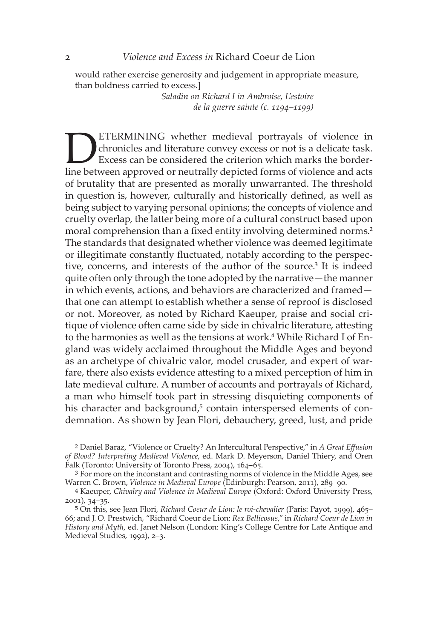would rather exercise generosity and judgement in appropriate measure, than boldness carried to excess.]

> *Saladin on Richard I in Ambroise, L'estoire de la guerre sainte (c. 1194–1199)*

ETERMINING whether medieval portrayals of violence in chronicles and literature convey excess or not is a delicate task.<br>Excess can be considered the criterion which marks the border-<br>line between approved or neutrally dep chronicles and literature convey excess or not is a delicate task. Excess can be considered the criterion which marks the borderline between approved or neutrally depicted forms of violence and acts of brutality that are presented as morally unwarranted. The threshold in question is, however, culturally and historically defined, as well as being subject to varying personal opinions; the concepts of violence and cruelty overlap, the latter being more of a cultural construct based upon moral comprehension than a fixed entity involving determined norms.<sup>2</sup> The standards that designated whether violence was deemed legitimate or illegitimate constantly fluctuated, notably according to the perspective, concerns, and interests of the author of the source.<sup>3</sup> It is indeed quite often only through the tone adopted by the narrative—the manner in which events, actions, and behaviors are characterized and framed that one can attempt to establish whether a sense of reproof is disclosed or not. Moreover, as noted by Richard Kaeuper, praise and social critique of violence often came side by side in chivalric literature, attesting to the harmonies as well as the tensions at work.<sup>4</sup> While Richard I of England was widely acclaimed throughout the Middle Ages and beyond as an archetype of chivalric valor, model crusader, and expert of warfare, there also exists evidence attesting to a mixed perception of him in late medieval culture. A number of accounts and portrayals of Richard, a man who himself took part in stressing disquieting components of his character and background,<sup>5</sup> contain interspersed elements of condemnation. As shown by Jean Flori, debauchery, greed, lust, and pride

2 Daniel Baraz, "Violence or Cruelty? An Intercultural Perspective," in *A Great Effusion of Blood? Interpreting Medieval Violence*, ed. Mark D. Meyerson, Daniel Thiery, and Oren Falk (Toronto: University of Toronto Press, 2004), 164–65.

3 For more on the inconstant and contrasting norms of violence in the Middle Ages, see Warren C. Brown, *Violence in Medieval Europe* (Edinburgh: Pearson, 2011), 289–90.

4 Kaeuper, *Chivalry and Violence in Medieval Europe* (Oxford: Oxford University Press, 2001), 34–35.

5 On this, see Jean Flori, *Richard Coeur de Lion: le roi-chevalier* (Paris: Payot, 1999), 465– 66; and J. O. Prestwich, "Richard Coeur de Lion: *Rex Bellicosus*," in *Richard Coeur de Lion in History and Myth*, ed. Janet Nelson (London: King's College Centre for Late Antique and Medieval Studies, 1992), 2–3.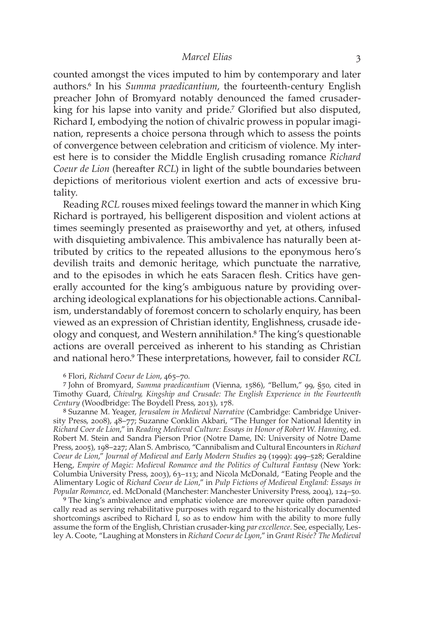counted amongst the vices imputed to him by contemporary and later authors.6 In his *Summa praedicantium*, the fourteenth-century English preacher John of Bromyard notably denounced the famed crusaderking for his lapse into vanity and pride.<sup>7</sup> Glorified but also disputed, Richard I, embodying the notion of chivalric prowess in popular imagination, represents a choice persona through which to assess the points of convergence between celebration and criticism of violence. My interest here is to consider the Middle English crusading romance *Richard Coeur de Lion* (hereafter *RCL*) in light of the subtle boundaries between depictions of meritorious violent exertion and acts of excessive brutality.

Reading *RCL* rouses mixed feelings toward the manner in which King Richard is portrayed, his belligerent disposition and violent actions at times seemingly presented as praiseworthy and yet, at others, infused with disquieting ambivalence. This ambivalence has naturally been attributed by critics to the repeated allusions to the eponymous hero's devilish traits and demonic heritage, which punctuate the narrative, and to the episodes in which he eats Saracen flesh. Critics have generally accounted for the king's ambiguous nature by providing overarching ideological explanations for his objectionable actions. Cannibalism, understandably of foremost concern to scholarly enquiry, has been viewed as an expression of Christian identity, Englishness, crusade ideology and conquest, and Western annihilation.8 The king's questionable actions are overall perceived as inherent to his standing as Christian and national hero.9 These interpretations, however, fail to consider *RCL*

6 Flori, *Richard Coeur de Lion*, 465–70.

7 John of Bromyard, *Summa praedicantium* (Vienna, 1586), "Bellum," 99, §50, cited in Timothy Guard, *Chivalry, Kingship and Crusade: The English Experience in the Fourteenth Century* (Woodbridge: The Boydell Press, 2013), 178.

8 Suzanne M. Yeager, *Jerusalem in Medieval Narrative* (Cambridge: Cambridge University Press, 2008), 48–77; Suzanne Conklin Akbari, "The Hunger for National Identity in *Richard Coer de Lion*," in *Reading Medieval Culture: Essays in Honor of Robert W. Hanning*, ed. Robert M. Stein and Sandra Pierson Prior (Notre Dame, IN: University of Notre Dame Press, 2005), 198–227; Alan S. Ambrisco, "Cannibalism and Cultural Encounters in *Richard Coeur de Lion*," *Journal of Medieval and Early Modern Studies* 29 (1999): 499–528; Geraldine Heng, *Empire of Magic: Medieval Romance and the Politics of Cultural Fantasy* (New York: Columbia University Press, 2003), 63–113; and Nicola McDonald, "Eating People and the Alimentary Logic of *Richard Coeur de Lion*," in *Pulp Fictions of Medieval England: Essays in Popular Romance*, ed. McDonald (Manchester: Manchester University Press, 2004), 124–50.

9 The king's ambivalence and emphatic violence are moreover quite often paradoxically read as serving rehabilitative purposes with regard to the historically documented shortcomings ascribed to Richard  $\hat{I}$ , so as to endow him with the ability to more fully assume the form of the English, Christian crusader-king *par excellence*. See, especially, Lesley A. Coote, "Laughing at Monsters in *Richard Coeur de Lyon*," in *Grant Risée? The Medieval*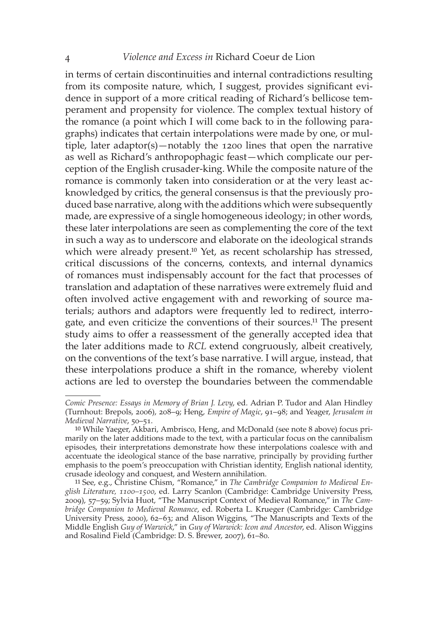#### 4 *Violence and Excess in* Richard Coeur de Lion

in terms of certain discontinuities and internal contradictions resulting from its composite nature, which, I suggest, provides significant evidence in support of a more critical reading of Richard's bellicose temperament and propensity for violence. The complex textual history of the romance (a point which I will come back to in the following paragraphs) indicates that certain interpolations were made by one, or multiple, later adaptor(s)—notably the 1200 lines that open the narrative as well as Richard's anthropophagic feast—which complicate our perception of the English crusader-king. While the composite nature of the romance is commonly taken into consideration or at the very least acknowledged by critics, the general consensus is that the previously produced base narrative, along with the additions which were subsequently made, are expressive of a single homogeneous ideology; in other words, these later interpolations are seen as complementing the core of the text in such a way as to underscore and elaborate on the ideological strands which were already present.<sup>10</sup> Yet, as recent scholarship has stressed, critical discussions of the concerns, contexts, and internal dynamics of romances must indispensably account for the fact that processes of translation and adaptation of these narratives were extremely fluid and often involved active engagement with and reworking of source materials; authors and adaptors were frequently led to redirect, interrogate, and even criticize the conventions of their sources.11 The present study aims to offer a reassessment of the generally accepted idea that the later additions made to *RCL* extend congruously, albeit creatively, on the conventions of the text's base narrative. I will argue, instead, that these interpolations produce a shift in the romance, whereby violent actions are led to overstep the boundaries between the commendable

*Comic Presence: Essays in Memory of Brian J. Levy*, ed. Adrian P. Tudor and Alan Hindley (Turnhout: Brepols, 2006), 208–9; Heng, *Empire of Magic*, 91–98; and Yeager, *Jerusalem in Medieval Narrative*, 50–51.

<sup>10</sup>While Yaeger, Akbari, Ambrisco, Heng, and McDonald (see note 8 above) focus primarily on the later additions made to the text, with a particular focus on the cannibalism episodes, their interpretations demonstrate how these interpolations coalesce with and accentuate the ideological stance of the base narrative, principally by providing further emphasis to the poem's preoccupation with Christian identity, English national identity, crusade ideology and conquest, and Western annihilation.

<sup>11</sup>See, e.g., Christine Chism, "Romance," in *The Cambridge Companion to Medieval English Literature, 1100–1500*, ed. Larry Scanlon (Cambridge: Cambridge University Press, 2009), 57–59; Sylvia Huot, "The Manuscript Context of Medieval Romance," in *The Cambridge Companion to Medieval Romance*, ed. Roberta L. Krueger (Cambridge: Cambridge University Press, 2000), 62–63; and Alison Wiggins, "The Manuscripts and Texts of the Middle English *Guy of Warwick*," in *Guy of Warwick: Icon and Ancestor*, ed. Alison Wiggins and Rosalind Field (Cambridge: D. S. Brewer, 2007), 61–80.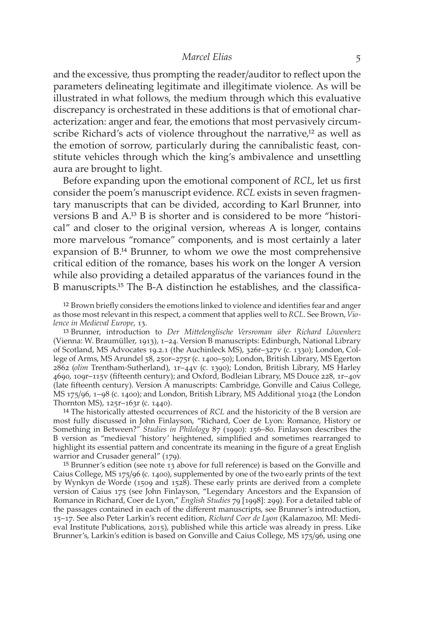and the excessive, thus prompting the reader/auditor to reflect upon the parameters delineating legitimate and illegitimate violence. As will be illustrated in what follows, the medium through which this evaluative discrepancy is orchestrated in these additions is that of emotional characterization: anger and fear, the emotions that most pervasively circumscribe Richard's acts of violence throughout the narrative,<sup>12</sup> as well as the emotion of sorrow, particularly during the cannibalistic feast, constitute vehicles through which the king's ambivalence and unsettling aura are brought to light.

Before expanding upon the emotional component of *RCL*, let us first consider the poem's manuscript evidence. *RCL* exists in seven fragmentary manuscripts that can be divided, according to Karl Brunner, into versions B and A.13 B is shorter and is considered to be more "historical" and closer to the original version, whereas A is longer, contains more marvelous "romance" components, and is most certainly a later expansion of B.14 Brunner, to whom we owe the most comprehensive critical edition of the romance, bases his work on the longer A version while also providing a detailed apparatus of the variances found in the B manuscripts.15 The B-A distinction he establishes, and the classifica-

12 Brown briefly considers the emotions linked to violence and identifies fear and anger as those most relevant in this respect, a comment that applies well to *RCL*. See Brown, *Violence in Medieval Europe*, 13.

13 Brunner, introduction to *Der Mittelenglische Versroman über Richard Löwenherz* (Vienna: W. Braumüller, 1913), 1–24. Version B manuscripts: Edinburgh, National Library of Scotland, MS Advocates 19.2.1 (the Auchinleck MS), 326r–327v (c. 1330); London, College of Arms, MS Arundel 58, 250r–275r (c. 1400–50); London, British Library, MS Egerton 2862 (*olim* Trentham-Sutherland), 1r–44v (c. 1390); London, British Library, MS Harley 4690, 109r–115v (fifteenth century); and Oxford, Bodleian Library, MS Douce 228, 1r–40v (late fifteenth century). Version A manuscripts: Cambridge, Gonville and Caius College, MS 175/96, 1–98 (c. 1400); and London, British Library, MS Additional 31042 (the London Thornton MS), 125r–163r (c. 1440).

14 The historically attested occurrences of *RCL* and the historicity of the B version are most fully discussed in John Finlayson, "Richard, Coer de Lyon: Romance, History or Something in Between?" *Studies in Philology* 87 (1990): 156–80. Finlayson describes the B version as "medieval 'history' heightened, simplified and sometimes rearranged to highlight its essential pattern and concentrate its meaning in the figure of a great English warrior and Crusader general" (179).

15 Brunner's edition (see note 13 above for full reference) is based on the Gonville and Caius College, MS 175/96 (c. 1400), supplemented by one of the two early prints of the text by Wynkyn de Worde (1509 and 1528). These early prints are derived from a complete version of Caius 175 (see John Finlayson, "Legendary Ancestors and the Expansion of Romance in Richard, Coer de Lyon," *English Studies* 79 [1998]: 299). For a detailed table of the passages contained in each of the different manuscripts, see Brunner's introduction, 15–17. See also Peter Larkin's recent edition, *Richard Coer de Lyon* (Kalamazoo, MI: Medieval Institute Publications, 2015), published while this article was already in press. Like Brunner's, Larkin's edition is based on Gonville and Caius College, MS 175/96, using one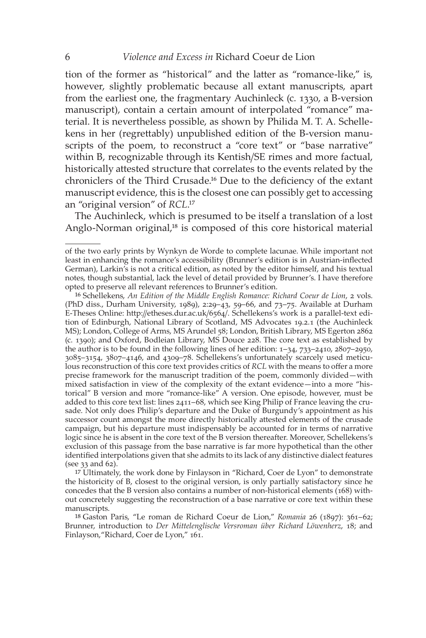tion of the former as "historical" and the latter as "romance-like," is, however, slightly problematic because all extant manuscripts, apart from the earliest one, the fragmentary Auchinleck (c. 1330, a B-version manuscript), contain a certain amount of interpolated "romance" material. It is nevertheless possible, as shown by Philida M. T. A. Schellekens in her (regrettably) unpublished edition of the B-version manuscripts of the poem, to reconstruct a "core text" or "base narrative" within B, recognizable through its Kentish/SE rimes and more factual, historically attested structure that correlates to the events related by the chroniclers of the Third Crusade.16 Due to the deficiency of the extant manuscript evidence, this is the closest one can possibly get to accessing an "original version" of *RCL*.17

The Auchinleck, which is presumed to be itself a translation of a lost Anglo-Norman original,<sup>18</sup> is composed of this core historical material

17 Ultimately, the work done by Finlayson in "Richard, Coer de Lyon" to demonstrate the historicity of B, closest to the original version, is only partially satisfactory since he concedes that the B version also contains a number of non-historical elements (168) without concretely suggesting the reconstruction of a base narrative or core text within these manuscripts.

of the two early prints by Wynkyn de Worde to complete lacunae. While important not least in enhancing the romance's accessibility (Brunner's edition is in Austrian-inflected German), Larkin's is not a critical edition, as noted by the editor himself, and his textual notes, though substantial, lack the level of detail provided by Brunner's. I have therefore opted to preserve all relevant references to Brunner's edition.

<sup>16</sup>Schellekens, *An Edition of the Middle English Romance: Richard Coeur de Lion*, 2 vols. (PhD diss., Durham University, 1989), 2:29–43, 59–66, and 73–75. Available at Durham E-Theses Online: http://etheses.dur.ac.uk/6564/. Schellekens's work is a parallel-text edition of Edinburgh, National Library of Scotland, MS Advocates 19.2.1 (the Auchinleck MS); London, College of Arms, MS Arundel 58; London, British Library, MS Egerton 2862 (c. 1390); and Oxford, Bodleian Library, MS Douce 228. The core text as established by the author is to be found in the following lines of her edition: 1–34, 733–2410, 2807–2950, 3085–3154, 3807–4146, and 4309–78. Schellekens's unfortunately scarcely used meticulous reconstruction of this core text provides critics of *RCL* with the means to offer a more precise framework for the manuscript tradition of the poem, commonly divided—with mixed satisfaction in view of the complexity of the extant evidence—into a more "historical" B version and more "romance-like" A version. One episode, however, must be added to this core text list: lines 2411–68, which see King Philip of France leaving the crusade. Not only does Philip's departure and the Duke of Burgundy's appointment as his successor count amongst the more directly historically attested elements of the crusade campaign, but his departure must indispensably be accounted for in terms of narrative logic since he is absent in the core text of the B version thereafter. Moreover, Schellekens's exclusion of this passage from the base narrative is far more hypothetical than the other identified interpolations given that she admits to its lack of any distinctive dialect features (see 33 and 62).

<sup>18</sup>Gaston Paris, "Le roman de Richard Coeur de Lion," *Romania* 26 (1897): 361–62; Brunner, introduction to *Der Mittelenglische Versroman über Richard Löwenherz*, 18; and Finlayson,"Richard, Coer de Lyon," 161.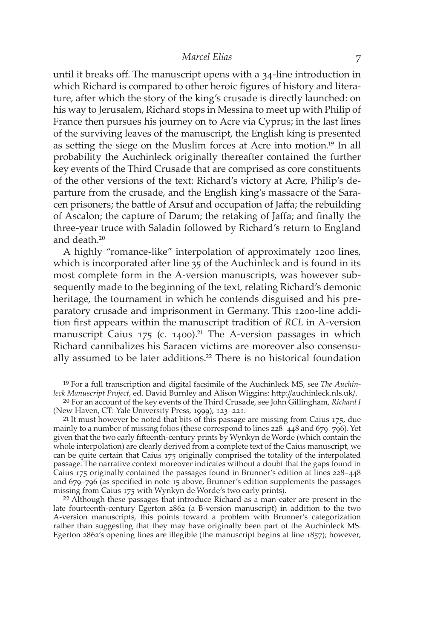until it breaks off. The manuscript opens with a 34-line introduction in which Richard is compared to other heroic figures of history and literature, after which the story of the king's crusade is directly launched: on his way to Jerusalem, Richard stops in Messina to meet up with Philip of France then pursues his journey on to Acre via Cyprus; in the last lines of the surviving leaves of the manuscript, the English king is presented as setting the siege on the Muslim forces at Acre into motion.19 In all probability the Auchinleck originally thereafter contained the further key events of the Third Crusade that are comprised as core constituents of the other versions of the text: Richard's victory at Acre, Philip's departure from the crusade, and the English king's massacre of the Saracen prisoners; the battle of Arsuf and occupation of Jaffa; the rebuilding of Ascalon; the capture of Darum; the retaking of Jaffa; and finally the three-year truce with Saladin followed by Richard's return to England and death.20

A highly "romance-like" interpolation of approximately 1200 lines, which is incorporated after line 35 of the Auchinleck and is found in its most complete form in the A-version manuscripts, was however subsequently made to the beginning of the text, relating Richard's demonic heritage, the tournament in which he contends disguised and his preparatory crusade and imprisonment in Germany. This 1200-line addition first appears within the manuscript tradition of *RCL* in A-version manuscript Caius  $175$  (c. 1400).<sup>21</sup> The A-version passages in which Richard cannibalizes his Saracen victims are moreover also consensually assumed to be later additions.<sup>22</sup> There is no historical foundation

19 For a full transcription and digital facsimile of the Auchinleck MS, see *The Auchinleck Manuscript Project*, ed. David Burnley and Alison Wiggins: http://auchinleck.nls.uk/.

20 For an account of the key events of the Third Crusade, see John Gillingham, *Richard I* (New Haven, CT: Yale University Press, 1999), 123–221.

21 It must however be noted that bits of this passage are missing from Caius 175, due mainly to a number of missing folios (these correspond to lines 228–448 and 679–796). Yet given that the two early fifteenth-century prints by Wynkyn de Worde (which contain the whole interpolation) are clearly derived from a complete text of the Caius manuscript, we can be quite certain that Caius 175 originally comprised the totality of the interpolated passage. The narrative context moreover indicates without a doubt that the gaps found in Caius 175 originally contained the passages found in Brunner's edition at lines 228–448 and 679–796 (as specified in note 15 above, Brunner's edition supplements the passages missing from Caius 175 with Wynkyn de Worde's two early prints).

22 Although these passages that introduce Richard as a man-eater are present in the late fourteenth-century Egerton 2862 (a B-version manuscript) in addition to the two A-version manuscripts, this points toward a problem with Brunner's categorization rather than suggesting that they may have originally been part of the Auchinleck MS. Egerton 2862's opening lines are illegible (the manuscript begins at line 1857); however,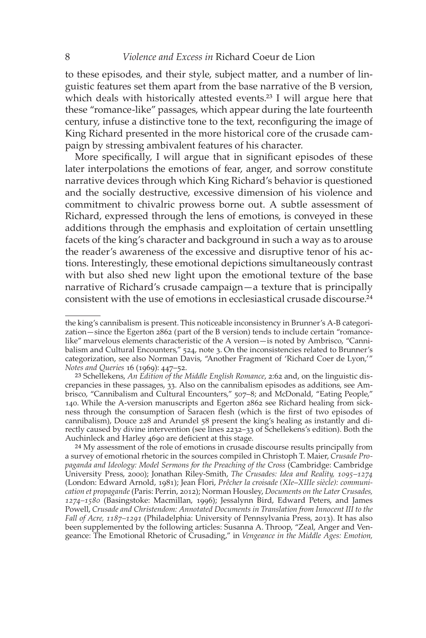to these episodes, and their style, subject matter, and a number of linguistic features set them apart from the base narrative of the B version, which deals with historically attested events.<sup>23</sup> I will argue here that these "romance-like" passages, which appear during the late fourteenth century, infuse a distinctive tone to the text, reconfiguring the image of King Richard presented in the more historical core of the crusade campaign by stressing ambivalent features of his character.

More specifically, I will argue that in significant episodes of these later interpolations the emotions of fear, anger, and sorrow constitute narrative devices through which King Richard's behavior is questioned and the socially destructive, excessive dimension of his violence and commitment to chivalric prowess borne out. A subtle assessment of Richard, expressed through the lens of emotions, is conveyed in these additions through the emphasis and exploitation of certain unsettling facets of the king's character and background in such a way as to arouse the reader's awareness of the excessive and disruptive tenor of his actions. Interestingly, these emotional depictions simultaneously contrast with but also shed new light upon the emotional texture of the base narrative of Richard's crusade campaign—a texture that is principally consistent with the use of emotions in ecclesiastical crusade discourse.24

24 My assessment of the role of emotions in crusade discourse results principally from a survey of emotional rhetoric in the sources compiled in Christoph T. Maier, *Crusade Propaganda and Ideology: Model Sermons for the Preaching of the Cross* (Cambridge: Cambridge University Press, 2000); Jonathan Riley-Smith, *The Crusades: Idea and Reality, 1095–1274* (London: Edward Arnold, 1981); Jean Flori, *Prêcher la croisade (XIe*–*XIIIe siècle): communication et propagande* (Paris: Perrin, 2012); Norman Housley, *Documents on the Later Crusades, 1274–1580* (Basingstoke: Macmillan, 1996); Jessalynn Bird, Edward Peters, and James Powell, *Crusade and Christendom: Annotated Documents in Translation from Innocent III to the Fall of Acre, 1187–1291* (Philadelphia: University of Pennsylvania Press, 2013). It has also been supplemented by the following articles: Susanna A. Throop, "Zeal, Anger and Vengeance: The Emotional Rhetoric of Crusading," in *Vengeance in the Middle Ages: Emotion,* 

the king's cannibalism is present. This noticeable inconsistency in Brunner's A-B categorization—since the Egerton 2862 (part of the B version) tends to include certain "romancelike" marvelous elements characteristic of the A version—is noted by Ambrisco, "Cannibalism and Cultural Encounters," 524, note 3. On the inconsistencies related to Brunner's categorization, see also Norman Davis, "Another Fragment of 'Richard Coer de Lyon,'" *Notes and Queries* 16 (1969): 447–52.

<sup>23</sup>Schellekens, *An Edition of the Middle English Romance*, 2:62 and, on the linguistic discrepancies in these passages, 33. Also on the cannibalism episodes as additions, see Ambrisco, "Cannibalism and Cultural Encounters," 507–8; and McDonald, "Eating People," 140. While the A-version manuscripts and Egerton 2862 see Richard healing from sickness through the consumption of Saracen flesh (which is the first of two episodes of cannibalism), Douce 228 and Arundel 58 present the king's healing as instantly and directly caused by divine intervention (see lines 2232–33 of Schellekens's edition). Both the Auchinleck and Harley 4690 are deficient at this stage.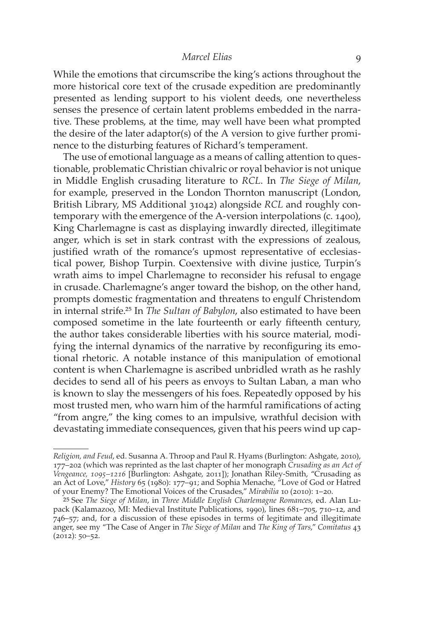While the emotions that circumscribe the king's actions throughout the more historical core text of the crusade expedition are predominantly presented as lending support to his violent deeds, one nevertheless senses the presence of certain latent problems embedded in the narrative. These problems, at the time, may well have been what prompted the desire of the later adaptor(s) of the A version to give further prominence to the disturbing features of Richard's temperament.

The use of emotional language as a means of calling attention to questionable, problematic Christian chivalric or royal behavior is not unique in Middle English crusading literature to *RCL*. In *The Siege of Milan*, for example, preserved in the London Thornton manuscript (London, British Library, MS Additional 31042) alongside *RCL* and roughly contemporary with the emergence of the A-version interpolations (c. 1400), King Charlemagne is cast as displaying inwardly directed, illegitimate anger, which is set in stark contrast with the expressions of zealous, justified wrath of the romance's upmost representative of ecclesiastical power, Bishop Turpin. Coextensive with divine justice, Turpin's wrath aims to impel Charlemagne to reconsider his refusal to engage in crusade. Charlemagne's anger toward the bishop, on the other hand, prompts domestic fragmentation and threatens to engulf Christendom in internal strife.25 In *The Sultan of Babylon*, also estimated to have been composed sometime in the late fourteenth or early fifteenth century, the author takes considerable liberties with his source material, modifying the internal dynamics of the narrative by reconfiguring its emotional rhetoric. A notable instance of this manipulation of emotional content is when Charlemagne is ascribed unbridled wrath as he rashly decides to send all of his peers as envoys to Sultan Laban, a man who is known to slay the messengers of his foes. Repeatedly opposed by his most trusted men, who warn him of the harmful ramifications of acting "from angre," the king comes to an impulsive, wrathful decision with devastating immediate consequences, given that his peers wind up cap-

*Religion, and Feud*, ed. Susanna A. Throop and Paul R. Hyams (Burlington: Ashgate, 2010), 177–202 (which was reprinted as the last chapter of her monograph *Crusading as an Act of Vengeance, 1095–1216* [Burlington: Ashgate, 2011]); Jonathan Riley-Smith, "Crusading as an Act of Love," *History* 65 (1980): 177–91; and Sophia Menache, "Love of God or Hatred of your Enemy? The Emotional Voices of the Crusades," *Mirabilia* 10 (2010): 1–20.

<sup>25</sup>See *The Siege of Milan*, in *Three Middle English Charlemagne Romances*, ed. Alan Lupack (Kalamazoo, MI: Medieval Institute Publications, 1990), lines 681–705, 710–12, and 746–57; and, for a discussion of these episodes in terms of legitimate and illegitimate anger, see my "The Case of Anger in *The Siege of Milan* and *The King of Tars*," *Comitatus* 43 (2012): 50–52.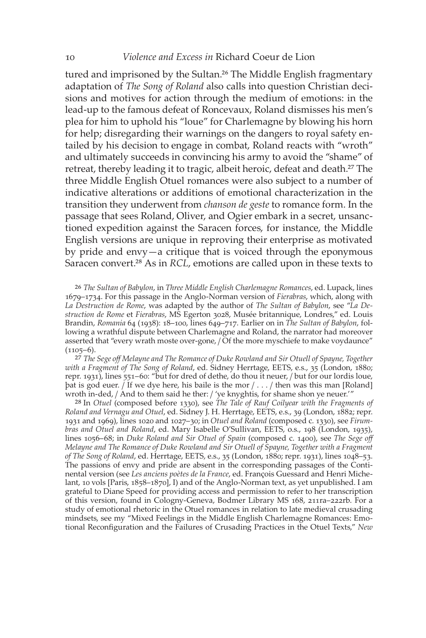#### 10 *Violence and Excess in* Richard Coeur de Lion

tured and imprisoned by the Sultan.<sup>26</sup> The Middle English fragmentary adaptation of *The Song of Roland* also calls into question Christian decisions and motives for action through the medium of emotions: in the lead-up to the famous defeat of Roncevaux, Roland dismisses his men's plea for him to uphold his "loue" for Charlemagne by blowing his horn for help; disregarding their warnings on the dangers to royal safety entailed by his decision to engage in combat, Roland reacts with "wroth" and ultimately succeeds in convincing his army to avoid the "shame" of retreat, thereby leading it to tragic, albeit heroic, defeat and death.<sup>27</sup> The three Middle English Otuel romances were also subject to a number of indicative alterations or additions of emotional characterization in the transition they underwent from *chanson de geste* to romance form. In the passage that sees Roland, Oliver, and Ogier embark in a secret, unsanctioned expedition against the Saracen forces, for instance, the Middle English versions are unique in reproving their enterprise as motivated by pride and envy—a critique that is voiced through the eponymous Saracen convert.28 As in *RCL*, emotions are called upon in these texts to

26 *The Sultan of Babylon*, in *Three Middle English Charlemagne Romances*, ed. Lupack, lines 1679–1734. For this passage in the Anglo-Norman version of *Fierabras*, which, along with *La Destruction de Rome*, was adapted by the author of *The Sultan of Babylon*, see "*La Destruction de Rome* et *Fierabras*, MS Egerton 3028, Musée britannique, Londres," ed. Louis Brandin, *Romania* 64 (1938): 18–100, lines 649–717. Earlier on in *The Sultan of Babylon*, following a wrathful dispute between Charlemagne and Roland, the narrator had moreover asserted that "every wrath moste over-gone, / Of the more myschiefe to make voydaunce"  $(1105-6).$ 

27 *The Sege off Melayne and The Romance of Duke Rowland and Sir Otuell of Spayne, Together with a Fragment of The Song of Roland*, ed. Sidney Herrtage, EETS, e.s., 35 (London, 1880; repr. 1931), lines 551–60: "but for dred of dethe, do thou it neuer, / but for our lordis loue, þat is god euer. / If we dye here, his baile is the mor / . . . / then was this man [Roland] wroth in-ded, / And to them said he ther: / 'ye knyghtis, for shame shon ye neuer.'"

28 In *Otuel* (composed before 1330), see *The Tale of Rauf Coilyear with the Fragments of Roland and Vernagu and Otuel*, ed. Sidney J. H. Herrtage, EETS, e.s., 39 (London, 1882; repr. 1931 and 1969), lines 1020 and 1027–30; in *Otuel and Roland* (composed c. 1330), see *Firumbras and Otuel and Roland*, ed. Mary Isabelle O'Sullivan, EETS, o.s., 198 (London, 1935), lines 1056–68; in *Duke Roland and Sir Otuel of Spain* (composed c. 1400), see *The Sege off Melayne and The Romance of Duke Rowland and Sir Otuell of Spayne, Together with a Fragment of The Song of Roland*, ed. Herrtage, EETS, e.s., 35 (London, 1880; repr. 1931), lines 1048–53. The passions of envy and pride are absent in the corresponding passages of the Continental version (see *Les anciens poètes de la France*, ed. François Guessard and Henri Michelant, 10 vols [Paris, 1858–1870], I) and of the Anglo-Norman text, as yet unpublished. I am grateful to Diane Speed for providing access and permission to refer to her transcription of this version, found in Cologny-Geneva, Bodmer Library MS 168, 211ra–222rb. For a study of emotional rhetoric in the Otuel romances in relation to late medieval crusading mindsets, see my "Mixed Feelings in the Middle English Charlemagne Romances: Emotional Reconfiguration and the Failures of Crusading Practices in the Otuel Texts," *New*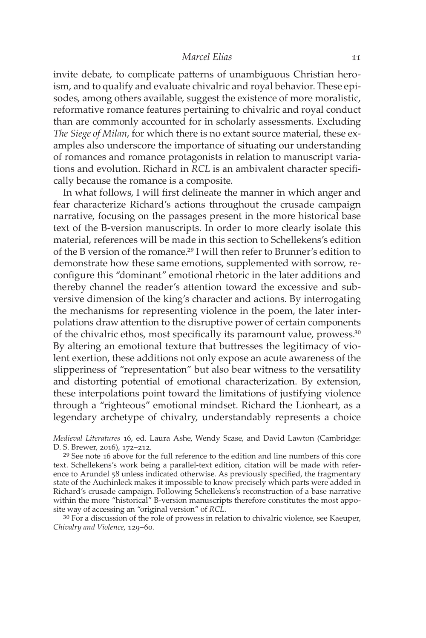invite debate, to complicate patterns of unambiguous Christian heroism, and to qualify and evaluate chivalric and royal behavior. These episodes, among others available, suggest the existence of more moralistic, reformative romance features pertaining to chivalric and royal conduct than are commonly accounted for in scholarly assessments. Excluding *The Siege of Milan*, for which there is no extant source material, these examples also underscore the importance of situating our understanding of romances and romance protagonists in relation to manuscript variations and evolution. Richard in *RCL* is an ambivalent character specifically because the romance is a composite.

In what follows, I will first delineate the manner in which anger and fear characterize Richard's actions throughout the crusade campaign narrative, focusing on the passages present in the more historical base text of the B-version manuscripts. In order to more clearly isolate this material, references will be made in this section to Schellekens's edition of the B version of the romance.29 I will then refer to Brunner's edition to demonstrate how these same emotions, supplemented with sorrow, reconfigure this "dominant" emotional rhetoric in the later additions and thereby channel the reader's attention toward the excessive and subversive dimension of the king's character and actions. By interrogating the mechanisms for representing violence in the poem, the later interpolations draw attention to the disruptive power of certain components of the chivalric ethos, most specifically its paramount value, prowess.<sup>30</sup> By altering an emotional texture that buttresses the legitimacy of violent exertion, these additions not only expose an acute awareness of the slipperiness of "representation" but also bear witness to the versatility and distorting potential of emotional characterization. By extension, these interpolations point toward the limitations of justifying violence through a "righteous" emotional mindset. Richard the Lionheart, as a legendary archetype of chivalry, understandably represents a choice

*Medieval Literatures* 16, ed. Laura Ashe, Wendy Scase, and David Lawton (Cambridge: D. S. Brewer, 2016), 172–212.

<sup>29</sup>See note 16 above for the full reference to the edition and line numbers of this core text. Schellekens's work being a parallel-text edition, citation will be made with reference to Arundel 58 unless indicated otherwise. As previously specified, the fragmentary state of the Auchinleck makes it impossible to know precisely which parts were added in Richard's crusade campaign. Following Schellekens's reconstruction of a base narrative within the more "historical" B-version manuscripts therefore constitutes the most apposite way of accessing an "original version" of *RCL*.

<sup>30</sup>For a discussion of the role of prowess in relation to chivalric violence, see Kaeuper, *Chivalry and Violence*, 129–60.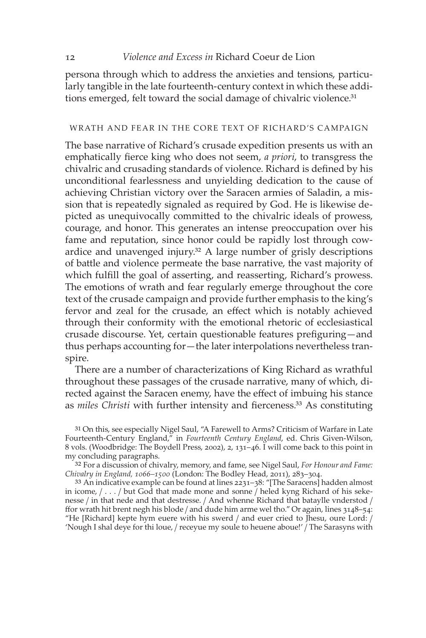persona through which to address the anxieties and tensions, particularly tangible in the late fourteenth-century context in which these additions emerged, felt toward the social damage of chivalric violence.<sup>31</sup>

#### WRATH AND FEAR IN THE CORE TEXT OF RICHARD'S CAMPAIGN

The base narrative of Richard's crusade expedition presents us with an emphatically fierce king who does not seem, *a priori*, to transgress the chivalric and crusading standards of violence. Richard is defined by his unconditional fearlessness and unyielding dedication to the cause of achieving Christian victory over the Saracen armies of Saladin, a mission that is repeatedly signaled as required by God. He is likewise depicted as unequivocally committed to the chivalric ideals of prowess, courage, and honor. This generates an intense preoccupation over his fame and reputation, since honor could be rapidly lost through cowardice and unavenged injury.<sup>32</sup> A large number of grisly descriptions of battle and violence permeate the base narrative, the vast majority of which fulfill the goal of asserting, and reasserting, Richard's prowess. The emotions of wrath and fear regularly emerge throughout the core text of the crusade campaign and provide further emphasis to the king's fervor and zeal for the crusade, an effect which is notably achieved through their conformity with the emotional rhetoric of ecclesiastical crusade discourse. Yet, certain questionable features prefiguring—and thus perhaps accounting for—the later interpolations nevertheless transpire.

There are a number of characterizations of King Richard as wrathful throughout these passages of the crusade narrative, many of which, directed against the Saracen enemy, have the effect of imbuing his stance as *miles Christi* with further intensity and fierceness.33 As constituting

31 On this, see especially Nigel Saul, "A Farewell to Arms? Criticism of Warfare in Late Fourteenth-Century England," in *Fourteenth Century England*, ed. Chris Given-Wilson, 8 vols. (Woodbridge: The Boydell Press, 2002), 2, 131–46. I will come back to this point in my concluding paragraphs.

32 For a discussion of chivalry, memory, and fame, see Nigel Saul, *For Honour and Fame: Chivalry in England, 1066–1500* (London: The Bodley Head, 2011), 283–304.

33 An indicative example can be found at lines 2231–38: "[The Saracens] hadden almost in icome, / . . . / but God that made mone and sonne / heled kyng Richard of his sekenesse / in that nede and that destresse. / And whenne Richard that bataylle vnderstod / ffor wrath hit brent negh his blode / and dude him arme wel tho." Or again, lines 3148–54: "He [Richard] kepte hym euere with his swerd / and euer cried to Jhesu, oure Lord: / 'Nough I shal deye for thi loue, / receyue my soule to heuene aboue!' / The Sarasyns with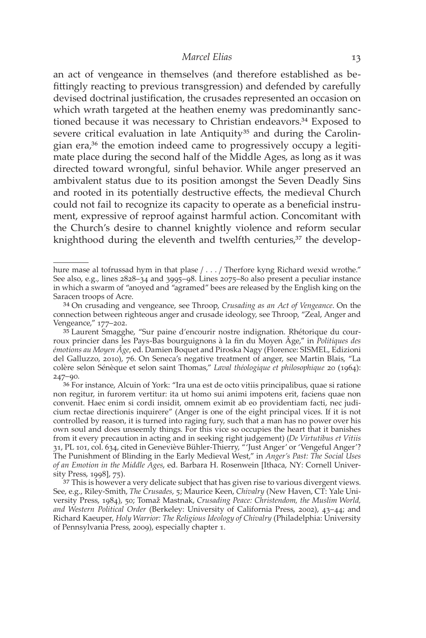an act of vengeance in themselves (and therefore established as befittingly reacting to previous transgression) and defended by carefully devised doctrinal justification, the crusades represented an occasion on which wrath targeted at the heathen enemy was predominantly sanctioned because it was necessary to Christian endeavors.34 Exposed to severe critical evaluation in late Antiquity<sup>35</sup> and during the Carolingian era,36 the emotion indeed came to progressively occupy a legitimate place during the second half of the Middle Ages, as long as it was directed toward wrongful, sinful behavior. While anger preserved an ambivalent status due to its position amongst the Seven Deadly Sins and rooted in its potentially destructive effects, the medieval Church could not fail to recognize its capacity to operate as a beneficial instrument, expressive of reproof against harmful action. Concomitant with the Church's desire to channel knightly violence and reform secular knighthood during the eleventh and twelfth centuries, $37$  the develop-

hure mase al tofrussad hym in that plase / . . . / Therfore kyng Richard wexid wrothe." See also, e.g., lines 2828–34 and 3995–98. Lines 2075–80 also present a peculiar instance in which a swarm of "anoyed and "agramed" bees are released by the English king on the Saracen troops of Acre.

<sup>34</sup>On crusading and vengeance, see Throop, *Crusading as an Act of Vengeance*. On the connection between righteous anger and crusade ideology, see Throop, "Zeal, Anger and Vengeance," 177–202.

<sup>35</sup>Laurent Smagghe, "Sur paine d'encourir nostre indignation. Rhétorique du courroux princier dans les Pays-Bas bourguignons à la fin du Moyen Âge," in *Politiques des émotions au Moyen Âge*, ed. Damien Boquet and Piroska Nagy (Florence: SISMEL, Edizioni del Galluzzo, 2010), 76. On Seneca's negative treatment of anger, see Martin Blais, "La colère selon Sénèque et selon saint Thomas," *Laval théologique et philosophique* 20 (1964): 247–90.

<sup>36</sup>For instance, Alcuin of York: "Ira una est de octo vitiis principalibus, quae si ratione non regitur, in furorem vertitur: ita ut homo sui animi impotens erit, faciens quae non convenit. Haec enim si cordi insidit, omnem eximit ab eo providentiam facti, nec judicium rectae directionis inquirere" (Anger is one of the eight principal vices. If it is not controlled by reason, it is turned into raging fury, such that a man has no power over his own soul and does unseemly things. For this vice so occupies the heart that it banishes from it every precaution in acting and in seeking right judgement) (*De Virtutibus et Vitiis* 31, PL 101, col. 634, cited in Geneviève Bühler-Thierry, "'Just Anger' or 'Vengeful Anger'? The Punishment of Blinding in the Early Medieval West," in *Anger's Past: The Social Uses of an Emotion in the Middle Ages*, ed. Barbara H. Rosenwein [Ithaca, NY: Cornell University Press, 1998], 75).

<sup>&</sup>lt;sup>37</sup> This is however a very delicate subject that has given rise to various divergent views. See, e.g., Riley-Smith, *The Crusades*, 5; Maurice Keen, *Chivalry* (New Haven, CT: Yale University Press, 1984), 50; Tomaž Mastnak, *Crusading Peace: Christendom, the Muslim World, and Western Political Order* (Berkeley: University of California Press, 2002), 43–44; and Richard Kaeuper, *Holy Warrior: The Religious Ideology of Chivalry* (Philadelphia: University of Pennsylvania Press, 2009), especially chapter 1.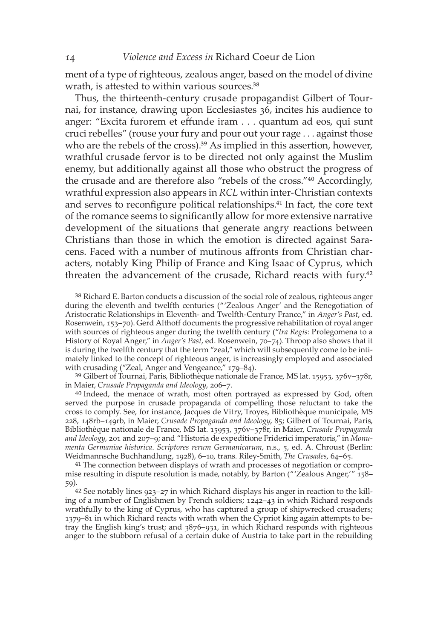ment of a type of righteous, zealous anger, based on the model of divine wrath, is attested to within various sources.<sup>38</sup>

Thus, the thirteenth-century crusade propagandist Gilbert of Tournai, for instance, drawing upon Ecclesiastes 36, incites his audience to anger: "Excita furorem et effunde iram . . . quantum ad eos, qui sunt cruci rebelles" (rouse your fury and pour out your rage . . . against those who are the rebels of the cross).<sup>39</sup> As implied in this assertion, however, wrathful crusade fervor is to be directed not only against the Muslim enemy, but additionally against all those who obstruct the progress of the crusade and are therefore also "rebels of the cross."40 Accordingly, wrathful expression also appears in *RCL* within inter-Christian contexts and serves to reconfigure political relationships.<sup>41</sup> In fact, the core text of the romance seems to significantly allow for more extensive narrative development of the situations that generate angry reactions between Christians than those in which the emotion is directed against Saracens. Faced with a number of mutinous affronts from Christian characters, notably King Philip of France and King Isaac of Cyprus, which threaten the advancement of the crusade, Richard reacts with fury.<sup>42</sup>

38 Richard E. Barton conducts a discussion of the social role of zealous, righteous anger during the eleventh and twelfth centuries ("'Zealous Anger' and the Renegotiation of Aristocratic Relationships in Eleventh- and Twelfth-Century France," in *Anger's Past*, ed. Rosenwein, 153–70). Gerd Althoff documents the progressive rehabilitation of royal anger with sources of righteous anger during the twelfth century ("*Ira Regis*: Prolegomena to a History of Royal Anger," in *Anger's Past*, ed. Rosenwein, 70–74). Throop also shows that it is during the twelfth century that the term "zeal," which will subsequently come to be intimately linked to the concept of righteous anger, is increasingly employed and associated with crusading ("Zeal, Anger and Vengeance," 179–84).

39 Gilbert of Tournai, Paris, Bibliothèque nationale de France, MS lat. 15953, 376v–378r, in Maier, *Crusade Propaganda and Ideology*, 206–7.

40 Indeed, the menace of wrath, most often portrayed as expressed by God, often served the purpose in crusade propaganda of compelling those reluctant to take the cross to comply. See, for instance, Jacques de Vitry, Troyes, Bibliothèque municipale, MS 228, 148rb–149rb, in Maier, *Crusade Propaganda and Ideology*, 85; Gilbert of Tournai, Paris, Bibliothèque nationale de France, MS lat. 15953, 376v–378r, in Maier, *Crusade Propaganda and Ideology*, 201 and 207–9; and "Historia de expeditione Friderici imperatoris," in *Monumenta Germaniae historica*. *Scriptores rerum Germanicarum*, n.s., 5, ed. A. Chroust (Berlin: Weidmannsche Buchhandlung, 1928), 6–10, trans. Riley-Smith, *The Crusades*, 64–65.

41 The connection between displays of wrath and processes of negotiation or compromise resulting in dispute resolution is made, notably, by Barton ("'Zealous Anger,'" 158– 59).

42 See notably lines 923–27 in which Richard displays his anger in reaction to the killing of a number of Englishmen by French soldiers; 1242–43 in which Richard responds wrathfully to the king of Cyprus, who has captured a group of shipwrecked crusaders; 1379–81 in which Richard reacts with wrath when the Cypriot king again attempts to betray the English king's trust; and 3876–931, in which Richard responds with righteous anger to the stubborn refusal of a certain duke of Austria to take part in the rebuilding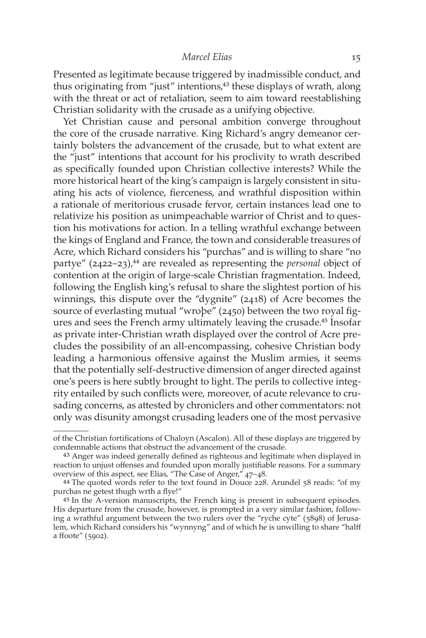Presented as legitimate because triggered by inadmissible conduct, and thus originating from "just" intentions,<sup>43</sup> these displays of wrath, along with the threat or act of retaliation, seem to aim toward reestablishing Christian solidarity with the crusade as a unifying objective.

Yet Christian cause and personal ambition converge throughout the core of the crusade narrative. King Richard's angry demeanor certainly bolsters the advancement of the crusade, but to what extent are the "just" intentions that account for his proclivity to wrath described as specifically founded upon Christian collective interests? While the more historical heart of the king's campaign is largely consistent in situating his acts of violence, fierceness, and wrathful disposition within a rationale of meritorious crusade fervor, certain instances lead one to relativize his position as unimpeachable warrior of Christ and to question his motivations for action. In a telling wrathful exchange between the kings of England and France, the town and considerable treasures of Acre, which Richard considers his "purchas" and is willing to share "no partye" (2422–23),<sup>44</sup> are revealed as representing the *personal* object of contention at the origin of large-scale Christian fragmentation. Indeed, following the English king's refusal to share the slightest portion of his winnings, this dispute over the "dygnite" (2418) of Acre becomes the source of everlasting mutual "wroþe" (2450) between the two royal figures and sees the French army ultimately leaving the crusade.45 Insofar as private inter-Christian wrath displayed over the control of Acre precludes the possibility of an all-encompassing, cohesive Christian body leading a harmonious offensive against the Muslim armies, it seems that the potentially self-destructive dimension of anger directed against one's peers is here subtly brought to light. The perils to collective integrity entailed by such conflicts were, moreover, of acute relevance to crusading concerns, as attested by chroniclers and other commentators: not only was disunity amongst crusading leaders one of the most pervasive

of the Christian fortifications of Chaloyn (Ascalon). All of these displays are triggered by condemnable actions that obstruct the advancement of the crusade.

<sup>43</sup>Anger was indeed generally defined as righteous and legitimate when displayed in reaction to unjust offenses and founded upon morally justifiable reasons. For a summary overview of this aspect, see Elias, "The Case of Anger," 47–48.

<sup>44</sup>The quoted words refer to the text found in Douce 228. Arundel 58 reads: "of my purchas ne getest thugh wrth a flye!"

<sup>45</sup>In the A-version manuscripts, the French king is present in subsequent episodes. His departure from the crusade, however, is prompted in a very similar fashion, following a wrathful argument between the two rulers over the "ryche cyte" (5898) of Jerusalem, which Richard considers his "wynnyng" and of which he is unwilling to share "halff a ffoote" (5902).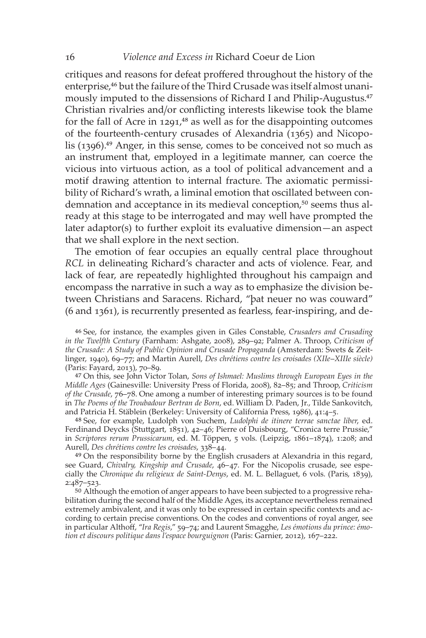critiques and reasons for defeat proffered throughout the history of the enterprise,<sup>46</sup> but the failure of the Third Crusade was itself almost unanimously imputed to the dissensions of Richard I and Philip-Augustus.<sup>47</sup> Christian rivalries and/or conflicting interests likewise took the blame for the fall of Acre in  $1291<sup>48</sup>$  as well as for the disappointing outcomes of the fourteenth-century crusades of Alexandria (1365) and Nicopolis (1396).<sup>49</sup> Anger, in this sense, comes to be conceived not so much as an instrument that, employed in a legitimate manner, can coerce the vicious into virtuous action, as a tool of political advancement and a motif drawing attention to internal fracture. The axiomatic permissibility of Richard's wrath, a liminal emotion that oscillated between condemnation and acceptance in its medieval conception,<sup>50</sup> seems thus already at this stage to be interrogated and may well have prompted the later adaptor(s) to further exploit its evaluative dimension—an aspect that we shall explore in the next section.

The emotion of fear occupies an equally central place throughout *RCL* in delineating Richard's character and acts of violence. Fear, and lack of fear, are repeatedly highlighted throughout his campaign and encompass the narrative in such a way as to emphasize the division between Christians and Saracens. Richard, "þat neuer no was couward" (6 and 1361), is recurrently presented as fearless, fear-inspiring, and de-

46 See, for instance, the examples given in Giles Constable, *Crusaders and Crusading in the Twelfth Century* (Farnham: Ashgate, 2008), 289–92; Palmer A. Throop, *Criticism of the Crusade: A Study of Public Opinion and Crusade Propaganda* (Amsterdam: Swets & Zeitlinger, 1940), 69–77; and Martin Aurell, *Des chrétiens contre les croisades (XIIe*–*XIIIe siècle)* (Paris: Fayard, 2013), 70–89.

47 On this, see John Victor Tolan, *Sons of Ishmael: Muslims through European Eyes in the Middle Ages* (Gainesville: University Press of Florida, 2008), 82–85; and Throop, *Criticism of the Crusade*, 76–78. One among a number of interesting primary sources is to be found in *The Poems of the Troubadour Bertran de Born*, ed. William D. Paden, Jr., Tilde Sankovitch, and Patricia H. Stäblein (Berkeley: University of California Press, 1986), 41:4–5.

48 See, for example, Ludolph von Suchem, *Ludolphi de itinere terrae sanctae liber*, ed. Ferdinand Deycks (Stuttgart, 1851), 42–46; Pierre of Duisbourg, "Cronica terre Prussie," in *Scriptores rerum Prussicarum*, ed. M. Töppen, 5 vols. (Leipzig, 1861–1874), 1:208; and Aurell, *Des chrétiens contre les croisades*, 338–44.

49 On the responsibility borne by the English crusaders at Alexandria in this regard, see Guard, *Chivalry, Kingship and Crusade*, 46–47. For the Nicopolis crusade, see especially the *Chronique du religieux de Saint-Denys*, ed. M. L. Bellaguet, 6 vols. (Paris, 1839), 2:487–523.

50 Although the emotion of anger appears to have been subjected to a progressive rehabilitation during the second half of the Middle Ages, its acceptance nevertheless remained extremely ambivalent, and it was only to be expressed in certain specific contexts and according to certain precise conventions. On the codes and conventions of royal anger, see in particular Althoff, "*Ira Regis*," 59–74; and Laurent Smagghe, *Les émotions du prince: émotion et discours politique dans l'espace bourguignon* (Paris: Garnier, 2012), 167–222.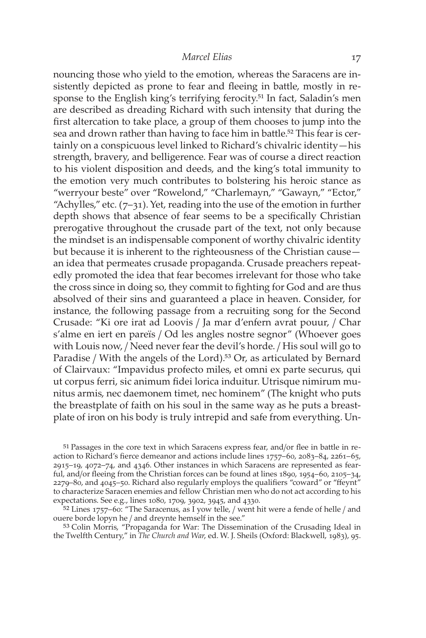nouncing those who yield to the emotion, whereas the Saracens are insistently depicted as prone to fear and fleeing in battle, mostly in response to the English king's terrifying ferocity.51 In fact, Saladin's men are described as dreading Richard with such intensity that during the first altercation to take place, a group of them chooses to jump into the sea and drown rather than having to face him in battle.<sup>52</sup> This fear is certainly on a conspicuous level linked to Richard's chivalric identity—his strength, bravery, and belligerence. Fear was of course a direct reaction to his violent disposition and deeds, and the king's total immunity to the emotion very much contributes to bolstering his heroic stance as "werryour beste" over "Rowelond," "Charlemayn," "Gawayn," "Ector," "Achylles," etc.  $(7-31)$ . Yet, reading into the use of the emotion in further depth shows that absence of fear seems to be a specifically Christian prerogative throughout the crusade part of the text, not only because the mindset is an indispensable component of worthy chivalric identity but because it is inherent to the righteousness of the Christian cause an idea that permeates crusade propaganda. Crusade preachers repeatedly promoted the idea that fear becomes irrelevant for those who take the cross since in doing so, they commit to fighting for God and are thus absolved of their sins and guaranteed a place in heaven. Consider, for instance, the following passage from a recruiting song for the Second Crusade: "Ki ore irat ad Loovis / Ja mar d'enfern avrat pouur, / Char s'alme en iert en pareïs / Od les angles nostre segnor" (Whoever goes with Louis now, / Need never fear the devil's horde. / His soul will go to Paradise / With the angels of the Lord).<sup>53</sup> Or, as articulated by Bernard of Clairvaux: "Impavidus profecto miles, et omni ex parte securus, qui ut corpus ferri, sic animum fidei lorica induitur. Utrisque nimirum munitus armis, nec daemonem timet, nec hominem" (The knight who puts the breastplate of faith on his soul in the same way as he puts a breastplate of iron on his body is truly intrepid and safe from everything. Un-

51 Passages in the core text in which Saracens express fear, and/or flee in battle in reaction to Richard's fierce demeanor and actions include lines 1757–60, 2083–84, 2261–65, 2915–19, 4072–74, and 4346. Other instances in which Saracens are represented as fearful, and/or fleeing from the Christian forces can be found at lines 1890, 1954–60, 2105–34, 2279–80, and 4045–50. Richard also regularly employs the qualifiers "coward" or "ffeynt" to characterize Saracen enemies and fellow Christian men who do not act according to his expectations. See e.g., lines 1080, 1709, 3902, 3945, and 4330.

52 Lines 1757–60: "The Saracenus, as I yow telle, / went hit were a fende of helle / and ouere borde lopyn he / and dreynte hemself in the see."

53 Colin Morris, "Propaganda for War: The Dissemination of the Crusading Ideal in the Twelfth Century," in *The Church and War*, ed. W. J. Sheils (Oxford: Blackwell, 1983), 95.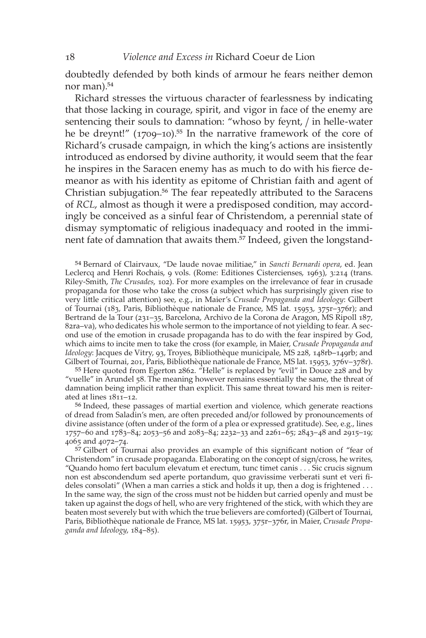doubtedly defended by both kinds of armour he fears neither demon nor man).<sup>54</sup>

Richard stresses the virtuous character of fearlessness by indicating that those lacking in courage, spirit, and vigor in face of the enemy are sentencing their souls to damnation: "whoso by feynt, / in helle-water he be dreynt!"  $(1709-10)^{55}$  In the narrative framework of the core of Richard's crusade campaign, in which the king's actions are insistently introduced as endorsed by divine authority, it would seem that the fear he inspires in the Saracen enemy has as much to do with his fierce demeanor as with his identity as epitome of Christian faith and agent of Christian subjugation.<sup>56</sup> The fear repeatedly attributed to the Saracens of *RCL*, almost as though it were a predisposed condition, may accordingly be conceived as a sinful fear of Christendom, a perennial state of dismay symptomatic of religious inadequacy and rooted in the imminent fate of damnation that awaits them.57 Indeed, given the longstand-

54 Bernard of Clairvaux, "De laude novae militiae," in *Sancti Bernardi opera*, ed. Jean Leclercq and Henri Rochais, 9 vols. (Rome: Editiones Cistercienses, 1963), 3:214 (trans. Riley-Smith, *The Crusades*, 102). For more examples on the irrelevance of fear in crusade propaganda for those who take the cross (a subject which has surprisingly given rise to very little critical attention) see, e.g., in Maier's *Crusade Propaganda and Ideology*: Gilbert of Tournai (183, Paris, Bibliothèque nationale de France, MS lat. 15953, 375r–376r); and Bertrand de la Tour (231–35, Barcelona, Archivo de la Corona de Aragon, MS Ripoll 187, 82ra–va), who dedicates his whole sermon to the importance of not yielding to fear. A second use of the emotion in crusade propaganda has to do with the fear inspired by God, which aims to incite men to take the cross (for example, in Maier, *Crusade Propaganda and Ideology*: Jacques de Vitry, 93, Troyes, Bibliothèque municipale, MS 228, 148rb–149rb; and Gilbert of Tournai, 201, Paris, Bibliothèque nationale de France, MS lat. 15953, 376v–378r).

55 Here quoted from Egerton 2862. "Helle" is replaced by "evil" in Douce 228 and by "vuelle" in Arundel 58. The meaning however remains essentially the same, the threat of damnation being implicit rather than explicit. This same threat toward his men is reiterated at lines 1811–12.

56 Indeed, these passages of martial exertion and violence, which generate reactions of dread from Saladin's men, are often preceded and/or followed by pronouncements of divine assistance (often under of the form of a plea or expressed gratitude). See, e.g., lines 1757–60 and 1783–84; 2053–56 and 2083–84; 2232–33 and 2261–65; 2843–48 and 2915–19; 4065 and 4072–74.

57 Gilbert of Tournai also provides an example of this significant notion of "fear of Christendom" in crusade propaganda. Elaborating on the concept of sign/cross, he writes, "Quando homo fert baculum elevatum et erectum, tunc timet canis . . . Sic crucis signum non est abscondendum sed aperte portandum, quo gravissime verberati sunt et veri fideles consolati" (When a man carries a stick and holds it up, then a dog is frightened . . . In the same way, the sign of the cross must not be hidden but carried openly and must be taken up against the dogs of hell, who are very frightened of the stick, with which they are beaten most severely but with which the true believers are comforted) (Gilbert of Tournai, Paris, Bibliothèque nationale de France, MS lat. 15953, 375r–376r, in Maier, *Crusade Propaganda and Ideology*, 184–85).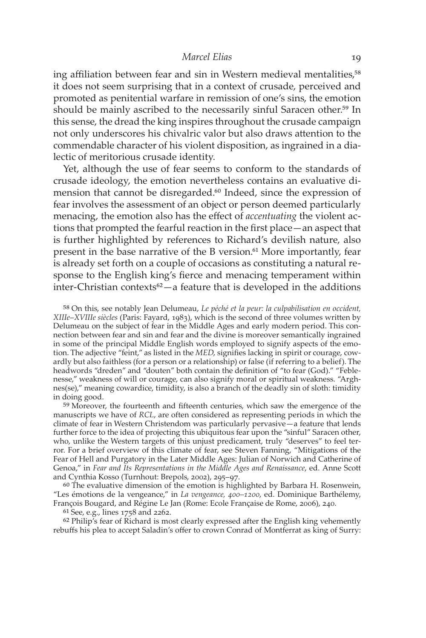ing affiliation between fear and sin in Western medieval mentalities,<sup>58</sup> it does not seem surprising that in a context of crusade, perceived and promoted as penitential warfare in remission of one's sins, the emotion should be mainly ascribed to the necessarily sinful Saracen other.<sup>59</sup> In this sense, the dread the king inspires throughout the crusade campaign not only underscores his chivalric valor but also draws attention to the commendable character of his violent disposition, as ingrained in a dialectic of meritorious crusade identity.

Yet, although the use of fear seems to conform to the standards of crusade ideology, the emotion nevertheless contains an evaluative dimension that cannot be disregarded.<sup>60</sup> Indeed, since the expression of fear involves the assessment of an object or person deemed particularly menacing, the emotion also has the effect of *accentuating* the violent actions that prompted the fearful reaction in the first place—an aspect that is further highlighted by references to Richard's devilish nature, also present in the base narrative of the B version.<sup>61</sup> More importantly, fear is already set forth on a couple of occasions as constituting a natural response to the English king's fierce and menacing temperament within inter-Christian contexts<sup>62</sup>—a feature that is developed in the additions

58 On this, see notably Jean Delumeau, *Le péché et la peur: la culpabilisation en occident, XIIIe*–*XVIIIe siècles* (Paris: Fayard, 1983), which is the second of three volumes written by Delumeau on the subject of fear in the Middle Ages and early modern period. This connection between fear and sin and fear and the divine is moreover semantically ingrained in some of the principal Middle English words employed to signify aspects of the emotion. The adjective "feint," as listed in the *MED*, signifies lacking in spirit or courage, cowardly but also faithless (for a person or a relationship) or false (if referring to a belief). The headwords "dreden" and "douten" both contain the definition of "to fear (God)." "Feblenesse," weakness of will or courage, can also signify moral or spiritual weakness. "Arghnes(se)," meaning cowardice, timidity, is also a branch of the deadly sin of sloth: timidity in doing good.

59 Moreover, the fourteenth and fifteenth centuries, which saw the emergence of the manuscripts we have of *RCL*, are often considered as representing periods in which the climate of fear in Western Christendom was particularly pervasive—a feature that lends further force to the idea of projecting this ubiquitous fear upon the "sinful" Saracen other, who, unlike the Western targets of this unjust predicament, truly "deserves" to feel terror. For a brief overview of this climate of fear, see Steven Fanning, "Mitigations of the Fear of Hell and Purgatory in the Later Middle Ages: Julian of Norwich and Catherine of Genoa," in *Fear and Its Representations in the Middle Ages and Renaissance*, ed. Anne Scott and Cynthia Kosso (Turnhout: Brepols, 2002), 295–97.

60 The evaluative dimension of the emotion is highlighted by Barbara H. Rosenwein, "Les émotions de la vengeance," in *La vengeance, 400–1200*, ed. Dominique Barthélemy, François Bougard, and Régine Le Jan (Rome: Ecole Française de Rome, 2006), 240.

61 See, e.g., lines 1758 and 2262.

62 Philip's fear of Richard is most clearly expressed after the English king vehemently rebuffs his plea to accept Saladin's offer to crown Conrad of Montferrat as king of Surry: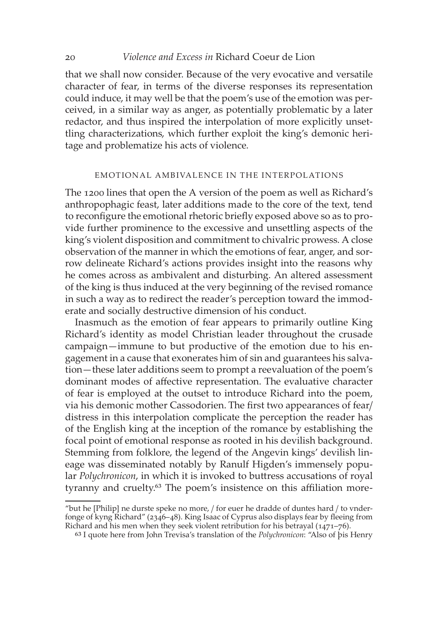#### 20 *Violence and Excess in* Richard Coeur de Lion

that we shall now consider. Because of the very evocative and versatile character of fear, in terms of the diverse responses its representation could induce, it may well be that the poem's use of the emotion was perceived, in a similar way as anger, as potentially problematic by a later redactor, and thus inspired the interpolation of more explicitly unsettling characterizations, which further exploit the king's demonic heritage and problematize his acts of violence.

#### EMOTIONAL AMBIVALENCE IN THE INTERPOLATIONS

The 1200 lines that open the A version of the poem as well as Richard's anthropophagic feast, later additions made to the core of the text, tend to reconfigure the emotional rhetoric briefly exposed above so as to provide further prominence to the excessive and unsettling aspects of the king's violent disposition and commitment to chivalric prowess. A close observation of the manner in which the emotions of fear, anger, and sorrow delineate Richard's actions provides insight into the reasons why he comes across as ambivalent and disturbing. An altered assessment of the king is thus induced at the very beginning of the revised romance in such a way as to redirect the reader's perception toward the immoderate and socially destructive dimension of his conduct.

Inasmuch as the emotion of fear appears to primarily outline King Richard's identity as model Christian leader throughout the crusade campaign—immune to but productive of the emotion due to his engagement in a cause that exonerates him of sin and guarantees his salvation—these later additions seem to prompt a reevaluation of the poem's dominant modes of affective representation. The evaluative character of fear is employed at the outset to introduce Richard into the poem, via his demonic mother Cassodorien. The first two appearances of fear/ distress in this interpolation complicate the perception the reader has of the English king at the inception of the romance by establishing the focal point of emotional response as rooted in his devilish background. Stemming from folklore, the legend of the Angevin kings' devilish lineage was disseminated notably by Ranulf Higden's immensely popular *Polychronicon*, in which it is invoked to buttress accusations of royal tyranny and cruelty.63 The poem's insistence on this affiliation more-

<sup>&</sup>quot;but he [Philip] ne durste speke no more, / for euer he dradde of duntes hard / to vnderfonge of kyng Richard" (2346–48). King Isaac of Cyprus also displays fear by fleeing from Richard and his men when they seek violent retribution for his betrayal  $(1471-76)$ .

<sup>63</sup>I quote here from John Trevisa's translation of the *Polychronicon*: "Also of þis Henry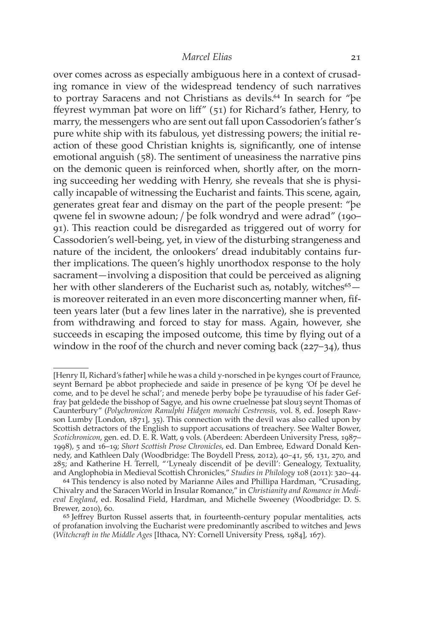over comes across as especially ambiguous here in a context of crusading romance in view of the widespread tendency of such narratives to portray Saracens and not Christians as devils.<sup>64</sup> In search for "be ffeyrest wymman þat wore on liff" (51) for Richard's father, Henry, to marry, the messengers who are sent out fall upon Cassodorien's father's pure white ship with its fabulous, yet distressing powers; the initial reaction of these good Christian knights is, significantly, one of intense emotional anguish (58). The sentiment of uneasiness the narrative pins on the demonic queen is reinforced when, shortly after, on the morning succeeding her wedding with Henry, she reveals that she is physically incapable of witnessing the Eucharist and faints. This scene, again, generates great fear and dismay on the part of the people present: "þe qwene fel in swowne adoun; / þe folk wondryd and were adrad" (190– 91). This reaction could be disregarded as triggered out of worry for Cassodorien's well-being, yet, in view of the disturbing strangeness and nature of the incident, the onlookers' dread indubitably contains further implications. The queen's highly unorthodox response to the holy sacrament—involving a disposition that could be perceived as aligning her with other slanderers of the Eucharist such as, notably, witches $65$ is moreover reiterated in an even more disconcerting manner when, fifteen years later (but a few lines later in the narrative), she is prevented from withdrawing and forced to stay for mass. Again, however, she succeeds in escaping the imposed outcome, this time by flying out of a window in the roof of the church and never coming back  $(227-34)$ , thus

<sup>[</sup>Henry II, Richard's father] while he was a child y-norsched in þe kynges court of Fraunce, seynt Bernard þe abbot propheciede and saide in presence of þe kyng 'Of þe devel he come, and to þe devel he schal'; and menede þerby boþe þe tyrauudise of his fader Geffray þat geldede the bisshop of Sagye, and his owne cruelnesse þat slou3 seynt Thomas of Caunterbury" (*Polychronicon Ranulphi Hidgen monachi Cestrensis*, vol. 8, ed. Joseph Rawson Lumby [London, 1871], 35). This connection with the devil was also called upon by Scottish detractors of the English to support accusations of treachery. See Walter Bower, *Scotichronicon*, gen. ed. D. E. R. Watt, 9 vols. (Aberdeen: Aberdeen University Press, 1987– 1998), 5 and 16–19; *Short Scottish Prose Chronicles*, ed. Dan Embree, Edward Donald Kennedy, and Kathleen Daly (Woodbridge: The Boydell Press, 2012), 40–41, 56, 131, 270, and 285; and Katherine H. Terrell, "'Lynealy discendit of þe devill': Genealogy, Textuality, and Anglophobia in Medieval Scottish Chronicles," *Studies in Philology* 108 (2011): 320–44.

<sup>64</sup>This tendency is also noted by Marianne Ailes and Phillipa Hardman, "Crusading, Chivalry and the Saracen World in Insular Romance," in *Christianity and Romance in Medieval England*, ed. Rosalind Field, Hardman, and Michelle Sweeney (Woodbridge: D. S. Brewer, 2010), 60.

<sup>65</sup>Jeffrey Burton Russel asserts that, in fourteenth-century popular mentalities, acts of profanation involving the Eucharist were predominantly ascribed to witches and Jews (*Witchcraft in the Middle Ages* [Ithaca, NY: Cornell University Press, 1984], 167).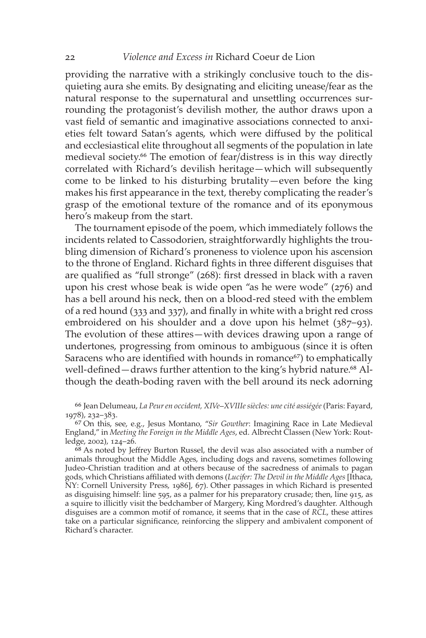providing the narrative with a strikingly conclusive touch to the disquieting aura she emits. By designating and eliciting unease/fear as the natural response to the supernatural and unsettling occurrences surrounding the protagonist's devilish mother, the author draws upon a vast field of semantic and imaginative associations connected to anxieties felt toward Satan's agents, which were diffused by the political and ecclesiastical elite throughout all segments of the population in late medieval society.<sup>66</sup> The emotion of fear/distress is in this way directly correlated with Richard's devilish heritage—which will subsequently come to be linked to his disturbing brutality—even before the king makes his first appearance in the text, thereby complicating the reader's grasp of the emotional texture of the romance and of its eponymous hero's makeup from the start.

The tournament episode of the poem, which immediately follows the incidents related to Cassodorien, straightforwardly highlights the troubling dimension of Richard's proneness to violence upon his ascension to the throne of England. Richard fights in three different disguises that are qualified as "full stronge" (268): first dressed in black with a raven upon his crest whose beak is wide open "as he were wode" (276) and has a bell around his neck, then on a blood-red steed with the emblem of a red hound (333 and 337), and finally in white with a bright red cross embroidered on his shoulder and a dove upon his helmet (387–93). The evolution of these attires—with devices drawing upon a range of undertones, progressing from ominous to ambiguous (since it is often Saracens who are identified with hounds in romance<sup>67</sup>) to emphatically well-defined—draws further attention to the king's hybrid nature.<sup>68</sup> Although the death-boding raven with the bell around its neck adorning

66 Jean Delumeau, *La Peur en occident, XIVe*–*XVIIIe siècles: une cité assiégée* (Paris: Fayard, 1978), 232–383.

67 On this, see, e.g., Jesus Montano, "*Sir Gowther*: Imagining Race in Late Medieval England," in *Meeting the Foreign in the Middle Ages*, ed. Albrecht Classen (New York: Routledge, 2002), 124–26.

68 As noted by Jeffrey Burton Russel, the devil was also associated with a number of animals throughout the Middle Ages, including dogs and ravens, sometimes following Judeo-Christian tradition and at others because of the sacredness of animals to pagan gods, which Christians affiliated with demons (*Lucifer: The Devil in the Middle Ages* [Ithaca, NY: Cornell University Press, 1986], 67). Other passages in which Richard is presented as disguising himself: line 595, as a palmer for his preparatory crusade; then, line 915, as a squire to illicitly visit the bedchamber of Margery, King Mordred's daughter. Although disguises are a common motif of romance, it seems that in the case of *RCL*, these attires take on a particular significance, reinforcing the slippery and ambivalent component of Richard's character.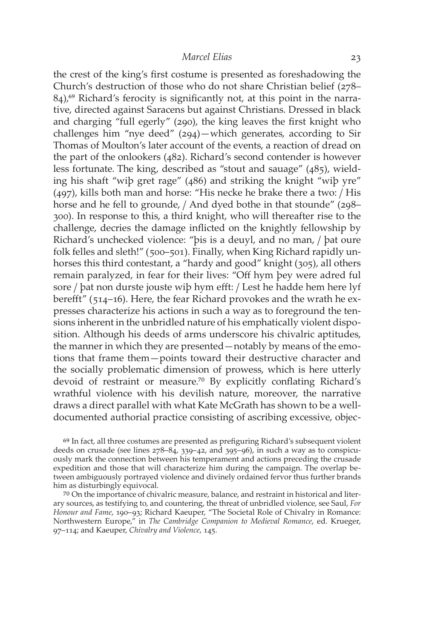the crest of the king's first costume is presented as foreshadowing the Church's destruction of those who do not share Christian belief (278– 84),<sup>69</sup> Richard's ferocity is significantly not, at this point in the narrative, directed against Saracens but against Christians. Dressed in black and charging "full egerly" (290), the king leaves the first knight who challenges him "nye deed" (294)—which generates, according to Sir Thomas of Moulton's later account of the events, a reaction of dread on the part of the onlookers (482). Richard's second contender is however less fortunate. The king, described as "stout and sauage" (485), wielding his shaft "wiþ gret rage" (486) and striking the knight "wiþ yre" (497), kills both man and horse: "His necke he brake there a two: / His horse and he fell to grounde, / And dyed bothe in that stounde" (298– 300). In response to this, a third knight, who will thereafter rise to the challenge, decries the damage inflicted on the knightly fellowship by Richard's unchecked violence: "þis is a deuyl, and no man, / þat oure folk felles and sleth!" (500–501). Finally, when King Richard rapidly unhorses this third contestant, a "hardy and good" knight (305), all others remain paralyzed, in fear for their lives: "Off hym þey were adred ful sore / þat non durste jouste wiþ hym efft: / Lest he hadde hem here lyf berefft" (514–16). Here, the fear Richard provokes and the wrath he expresses characterize his actions in such a way as to foreground the tensions inherent in the unbridled nature of his emphatically violent disposition. Although his deeds of arms underscore his chivalric aptitudes, the manner in which they are presented—notably by means of the emotions that frame them—points toward their destructive character and the socially problematic dimension of prowess, which is here utterly devoid of restraint or measure.70 By explicitly conflating Richard's wrathful violence with his devilish nature, moreover, the narrative draws a direct parallel with what Kate McGrath has shown to be a welldocumented authorial practice consisting of ascribing excessive, objec-

69 In fact, all three costumes are presented as prefiguring Richard's subsequent violent deeds on crusade (see lines 278–84, 339–42, and 395–96), in such a way as to conspicuously mark the connection between his temperament and actions preceding the crusade expedition and those that will characterize him during the campaign. The overlap between ambiguously portrayed violence and divinely ordained fervor thus further brands him as disturbingly equivocal.

70 On the importance of chivalric measure, balance, and restraint in historical and literary sources, as testifying to, and countering, the threat of unbridled violence, see Saul, *For Honour and Fame*, 190–93; Richard Kaeuper, "The Societal Role of Chivalry in Romance: Northwestern Europe," in *The Cambridge Companion to Medieval Romance*, ed. Krueger, 97–114; and Kaeuper, *Chivalry and Violence*, 145.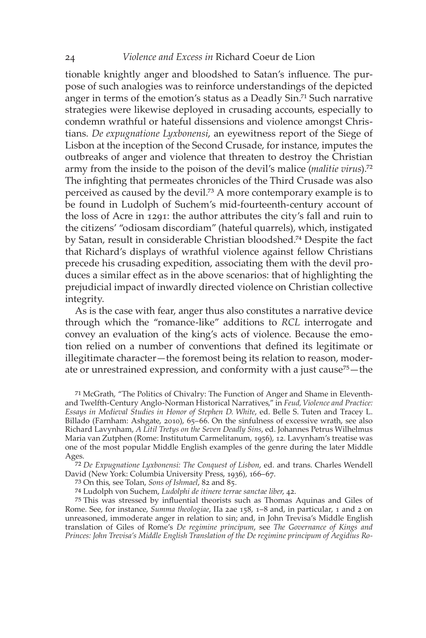tionable knightly anger and bloodshed to Satan's influence. The purpose of such analogies was to reinforce understandings of the depicted anger in terms of the emotion's status as a Deadly Sin.71 Such narrative strategies were likewise deployed in crusading accounts, especially to condemn wrathful or hateful dissensions and violence amongst Christians. *De expugnatione Lyxbonensi*, an eyewitness report of the Siege of Lisbon at the inception of the Second Crusade, for instance, imputes the outbreaks of anger and violence that threaten to destroy the Christian army from the inside to the poison of the devil's malice (*malitie virus*).72 The infighting that permeates chronicles of the Third Crusade was also perceived as caused by the devil.<sup>73</sup> A more contemporary example is to be found in Ludolph of Suchem's mid-fourteenth-century account of the loss of Acre in 1291: the author attributes the city's fall and ruin to the citizens' "odiosam discordiam" (hateful quarrels), which, instigated by Satan, result in considerable Christian bloodshed.74 Despite the fact that Richard's displays of wrathful violence against fellow Christians precede his crusading expedition, associating them with the devil produces a similar effect as in the above scenarios: that of highlighting the prejudicial impact of inwardly directed violence on Christian collective integrity.

As is the case with fear, anger thus also constitutes a narrative device through which the "romance-like" additions to *RCL* interrogate and convey an evaluation of the king's acts of violence. Because the emotion relied on a number of conventions that defined its legitimate or illegitimate character—the foremost being its relation to reason, moderate or unrestrained expression, and conformity with a just cause<sup>75</sup>—the

71 McGrath, "The Politics of Chivalry: The Function of Anger and Shame in Eleventhand Twelfth-Century Anglo-Norman Historical Narratives," in *Feud, Violence and Practice: Essays in Medieval Studies in Honor of Stephen D. White*, ed. Belle S. Tuten and Tracey L. Billado (Farnham: Ashgate, 2010), 65–66. On the sinfulness of excessive wrath, see also Richard Lavynham, *A Litil Tretys on the Seven Deadly Sins*, ed. Johannes Petrus Wilhelmus Maria van Zutphen (Rome: Institutum Carmelitanum, 1956), 12. Lavynham's treatise was one of the most popular Middle English examples of the genre during the later Middle Ages.

72 *De Expugnatione Lyxbonensi: The Conquest of Lisbon*, ed. and trans. Charles Wendell David (New York: Columbia University Press, 1936), 166–67.

73 On this, see Tolan, *Sons of Ishmael*, 82 and 85.

74 Ludolph von Suchem, *Ludolphi de itinere terrae sanctae liber*, 42.

75 This was stressed by influential theorists such as Thomas Aquinas and Giles of Rome. See, for instance, *Summa theologiae*, IIa 2ae 158, 1–8 and, in particular, 1 and 2 on unreasoned, immoderate anger in relation to sin; and, in John Trevisa's Middle English translation of Giles of Rome's *De regimine principum*, see *The Governance of Kings and Princes: John Trevisa's Middle English Translation of the De regimine principum of Aegidius Ro-*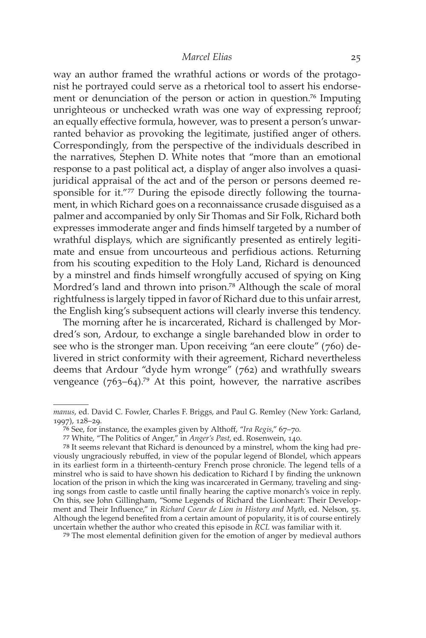way an author framed the wrathful actions or words of the protagonist he portrayed could serve as a rhetorical tool to assert his endorsement or denunciation of the person or action in question.76 Imputing unrighteous or unchecked wrath was one way of expressing reproof; an equally effective formula, however, was to present a person's unwarranted behavior as provoking the legitimate, justified anger of others. Correspondingly, from the perspective of the individuals described in the narratives, Stephen D. White notes that "more than an emotional response to a past political act, a display of anger also involves a quasijuridical appraisal of the act and of the person or persons deemed responsible for it."77 During the episode directly following the tournament, in which Richard goes on a reconnaissance crusade disguised as a palmer and accompanied by only Sir Thomas and Sir Folk, Richard both expresses immoderate anger and finds himself targeted by a number of wrathful displays, which are significantly presented as entirely legitimate and ensue from uncourteous and perfidious actions. Returning from his scouting expedition to the Holy Land, Richard is denounced by a minstrel and finds himself wrongfully accused of spying on King Mordred's land and thrown into prison.78 Although the scale of moral rightfulness is largely tipped in favor of Richard due to this unfair arrest, the English king's subsequent actions will clearly inverse this tendency.

The morning after he is incarcerated, Richard is challenged by Mordred's son, Ardour, to exchange a single barehanded blow in order to see who is the stronger man. Upon receiving "an eere cloute" (760) delivered in strict conformity with their agreement, Richard nevertheless deems that Ardour "dyde hym wronge" (762) and wrathfully swears vengeance  $(763-64)$ .<sup>79</sup> At this point, however, the narrative ascribes

79 The most elemental definition given for the emotion of anger by medieval authors

*manus*, ed. David C. Fowler, Charles F. Briggs, and Paul G. Remley (New York: Garland, 1997), 128–29.

<sup>76</sup>See, for instance, the examples given by Althoff, "*Ira Regis*," 67–70.

<sup>77</sup>White, "The Politics of Anger," in *Anger's Past*, ed. Rosenwein, 140.

<sup>78</sup>It seems relevant that Richard is denounced by a minstrel, whom the king had previously ungraciously rebuffed, in view of the popular legend of Blondel, which appears in its earliest form in a thirteenth-century French prose chronicle. The legend tells of a minstrel who is said to have shown his dedication to Richard I by finding the unknown location of the prison in which the king was incarcerated in Germany, traveling and singing songs from castle to castle until finally hearing the captive monarch's voice in reply. On this, see John Gillingham, "Some Legends of Richard the Lionheart: Their Development and Their Influence," in *Richard Coeur de Lion in History and Myth*, ed. Nelson, 55. Although the legend benefited from a certain amount of popularity, it is of course entirely uncertain whether the author who created this episode in *RCL* was familiar with it.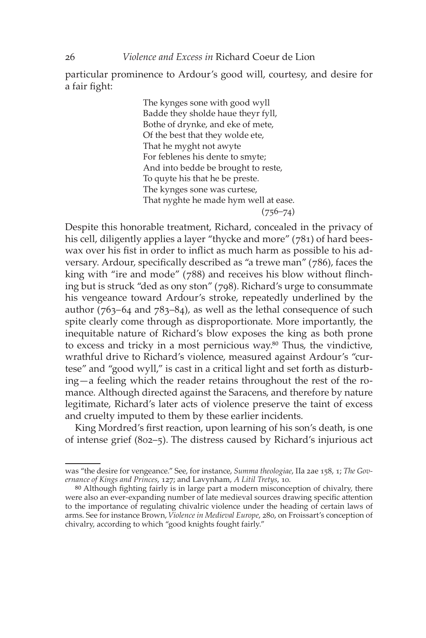particular prominence to Ardour's good will, courtesy, and desire for a fair fight:

> The kynges sone with good wyll Badde they sholde haue theyr fyll, Bothe of drynke, and eke of mete, Of the best that they wolde ete, That he myght not awyte For feblenes his dente to smyte; And into bedde be brought to reste, To quyte his that he be preste. The kynges sone was curtese, That nyghte he made hym well at ease.  $(756 - 74)$

Despite this honorable treatment, Richard, concealed in the privacy of his cell, diligently applies a layer "thycke and more" (781) of hard beeswax over his fist in order to inflict as much harm as possible to his adversary. Ardour, specifically described as "a trewe man" (786), faces the king with "ire and mode" (788) and receives his blow without flinching but is struck "ded as ony ston" (798). Richard's urge to consummate his vengeance toward Ardour's stroke, repeatedly underlined by the author  $(763-64$  and  $783-84)$ , as well as the lethal consequence of such spite clearly come through as disproportionate. More importantly, the inequitable nature of Richard's blow exposes the king as both prone to excess and tricky in a most pernicious way.80 Thus, the vindictive, wrathful drive to Richard's violence, measured against Ardour's "curtese" and "good wyll," is cast in a critical light and set forth as disturbing—a feeling which the reader retains throughout the rest of the romance. Although directed against the Saracens, and therefore by nature legitimate, Richard's later acts of violence preserve the taint of excess and cruelty imputed to them by these earlier incidents.

King Mordred's first reaction, upon learning of his son's death, is one of intense grief (802–5). The distress caused by Richard's injurious act

was "the desire for vengeance." See, for instance, *Summa theologiae*, IIa 2ae 158, 1; *The Governance of Kings and Princes*, 127; and Lavynham, *A Litil Tretys*, 10.

<sup>80</sup>Although fighting fairly is in large part a modern misconception of chivalry, there were also an ever-expanding number of late medieval sources drawing specific attention to the importance of regulating chivalric violence under the heading of certain laws of arms. See for instance Brown, *Violence in Medieval Europe*, 280, on Froissart's conception of chivalry, according to which "good knights fought fairly."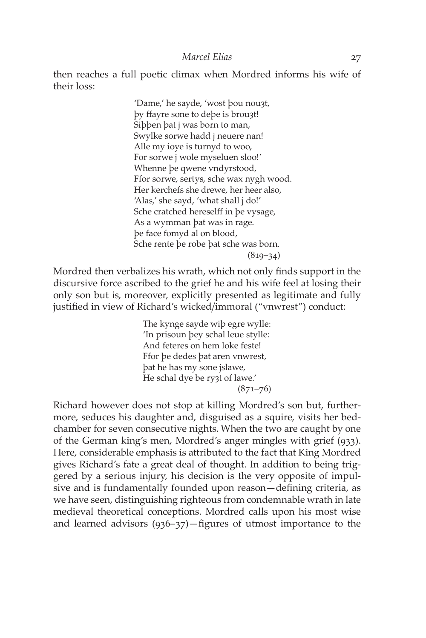then reaches a full poetic climax when Mordred informs his wife of their loss:

> 'Dame,' he sayde, 'wost þou nou3t, þy ffayre sone to deþe is brouȝt! Siþþen þat j was born to man, Swylke sorwe hadd j neuere nan! Alle my ioye is turnyd to woo, For sorwe j wole myseluen sloo!' Whenne þe qwene vndyrstood, Ffor sorwe, sertys, sche wax nygh wood. Her kerchefs she drewe, her heer also, 'Alas,' she sayd, 'what shall j do!' Sche cratched hereselff in þe vysage, As a wymman þat was in rage. þe face fomyd al on blood, Sche rente þe robe þat sche was born.  $(819 - 34)$

Mordred then verbalizes his wrath, which not only finds support in the discursive force ascribed to the grief he and his wife feel at losing their only son but is, moreover, explicitly presented as legitimate and fully justified in view of Richard's wicked/immoral ("vnwrest") conduct:

> The kynge sayde wiþ egre wylle: 'In prisoun þey schal leue stylle: And feteres on hem loke feste! Ffor þe dedes þat aren vnwrest, þat he has my sone jslawe, He schal dye be ry3t of lawe.' (871–76)

Richard however does not stop at killing Mordred's son but, furthermore, seduces his daughter and, disguised as a squire, visits her bedchamber for seven consecutive nights. When the two are caught by one of the German king's men, Mordred's anger mingles with grief (933). Here, considerable emphasis is attributed to the fact that King Mordred gives Richard's fate a great deal of thought. In addition to being triggered by a serious injury, his decision is the very opposite of impulsive and is fundamentally founded upon reason—defining criteria, as we have seen, distinguishing righteous from condemnable wrath in late medieval theoretical conceptions. Mordred calls upon his most wise and learned advisors (936–37)—figures of utmost importance to the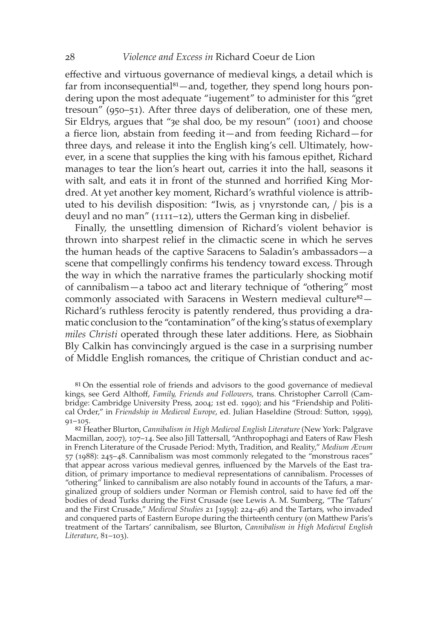effective and virtuous governance of medieval kings, a detail which is far from inconsequential $A^{81}$  — and, together, they spend long hours pondering upon the most adequate "iugement" to administer for this "gret tresoun" (950–51). After three days of deliberation, one of these men, Sir Eldrys, argues that "ȝe shal doo, be my resoun" (1001) and choose a fierce lion, abstain from feeding it—and from feeding Richard—for three days, and release it into the English king's cell. Ultimately, however, in a scene that supplies the king with his famous epithet, Richard manages to tear the lion's heart out, carries it into the hall, seasons it with salt, and eats it in front of the stunned and horrified King Mordred. At yet another key moment, Richard's wrathful violence is attributed to his devilish disposition: "Iwis, as j vnyrstonde can, / þis is a deuyl and no man" (1111–12), utters the German king in disbelief.

Finally, the unsettling dimension of Richard's violent behavior is thrown into sharpest relief in the climactic scene in which he serves the human heads of the captive Saracens to Saladin's ambassadors—a scene that compellingly confirms his tendency toward excess. Through the way in which the narrative frames the particularly shocking motif of cannibalism—a taboo act and literary technique of "othering" most commonly associated with Saracens in Western medieval culture<sup>82</sup>-Richard's ruthless ferocity is patently rendered, thus providing a dramatic conclusion to the "contamination" of the king's status of exemplary *miles Christi* operated through these later additions. Here, as Siobhain Bly Calkin has convincingly argued is the case in a surprising number of Middle English romances, the critique of Christian conduct and ac-

81 On the essential role of friends and advisors to the good governance of medieval kings, see Gerd Althoff, *Family, Friends and Followers*, trans. Christopher Carroll (Cambridge: Cambridge University Press, 2004; 1st ed. 1990); and his "Friendship and Political Order," in *Friendship in Medieval Europe*, ed. Julian Haseldine (Stroud: Sutton, 1999), 91–105.

82 Heather Blurton, *Cannibalism in High Medieval English Literature* (New York: Palgrave Macmillan, 2007), 107–14. See also Jill Tattersall, "Anthropophagi and Eaters of Raw Flesh in French Literature of the Crusade Period: Myth, Tradition, and Reality," *Medium Ævum* 57 (1988): 245–48. Cannibalism was most commonly relegated to the "monstrous races" that appear across various medieval genres, influenced by the Marvels of the East tradition, of primary importance to medieval representations of cannibalism. Processes of "othering" linked to cannibalism are also notably found in accounts of the Tafurs, a marginalized group of soldiers under Norman or Flemish control, said to have fed off the bodies of dead Turks during the First Crusade (see Lewis A. M. Sumberg, "The 'Tafurs' and the First Crusade," *Medieval Studies* 21 [1959]: 224–46) and the Tartars, who invaded and conquered parts of Eastern Europe during the thirteenth century (on Matthew Paris's treatment of the Tartars' cannibalism, see Blurton, *Cannibalism in High Medieval English Literature*, 81–103).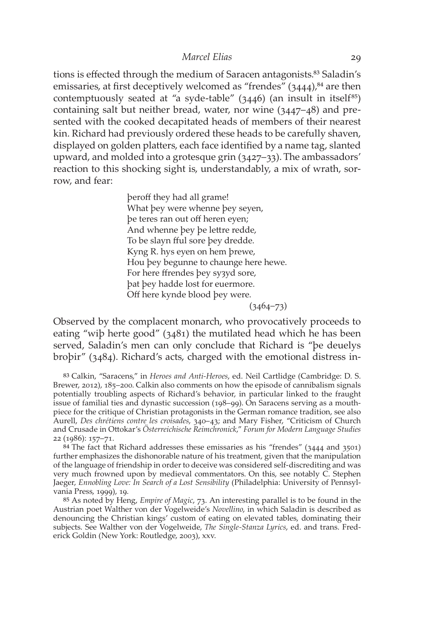tions is effected through the medium of Saracen antagonists.<sup>83</sup> Saladin's emissaries, at first deceptively welcomed as "frendes"  $(3444)$ ,  $84$  are then contemptuously seated at "a syde-table"  $(3446)$  (an insult in itself<sup>85</sup>) containing salt but neither bread, water, nor wine (3447–48) and presented with the cooked decapitated heads of members of their nearest kin. Richard had previously ordered these heads to be carefully shaven, displayed on golden platters, each face identified by a name tag, slanted upward, and molded into a grotesque grin (3427–33). The ambassadors' reaction to this shocking sight is, understandably, a mix of wrath, sorrow, and fear:

> þeroff they had all grame! What þey were whenne þey seyen, þe teres ran out off heren eyen; And whenne þey þe lettre redde, To be slayn fful sore þey dredde. Kyng R. hys eyen on hem þrewe, Hou þey begunne to chaunge here hewe. For here ffrendes bey sy<sub>3</sub>yd sore, þat þey hadde lost for euermore. Off here kynde blood þey were.

> > $(3464 - 73)$

Observed by the complacent monarch, who provocatively proceeds to eating "wiþ herte good" (3481) the mutilated head which he has been served, Saladin's men can only conclude that Richard is "þe deuelys broþir" (3484). Richard's acts, charged with the emotional distress in-

83 Calkin, "Saracens," in *Heroes and Anti-Heroes*, ed. Neil Cartlidge (Cambridge: D. S. Brewer, 2012), 185–200. Calkin also comments on how the episode of cannibalism signals potentially troubling aspects of Richard's behavior, in particular linked to the fraught issue of familial ties and dynastic succession (198–99). On Saracens serving as a mouthpiece for the critique of Christian protagonists in the German romance tradition, see also Aurell, *Des chrétiens contre les croisades*, 340–43; and Mary Fisher, "Criticism of Church and Crusade in Ottokar's *Österreichische Reimchronick*," *Forum for Modern Language Studies* 22 (1986): 157–71.

<sup>84</sup> The fact that Richard addresses these emissaries as his "frendes" (3444 and 3501) further emphasizes the dishonorable nature of his treatment, given that the manipulation of the language of friendship in order to deceive was considered self-discrediting and was very much frowned upon by medieval commentators. On this, see notably C. Stephen Jaeger, *Ennobling Love: In Search of a Lost Sensibility* (Philadelphia: University of Pennsylvania Press, 1999), 19.

85 As noted by Heng, *Empire of Magic*, 73. An interesting parallel is to be found in the Austrian poet Walther von der Vogelweide's *Novellino*, in which Saladin is described as denouncing the Christian kings' custom of eating on elevated tables, dominating their subjects. See Walther von der Vogelweide, *The Single-Stanza Lyrics*, ed. and trans. Frederick Goldin (New York: Routledge, 2003), xxv.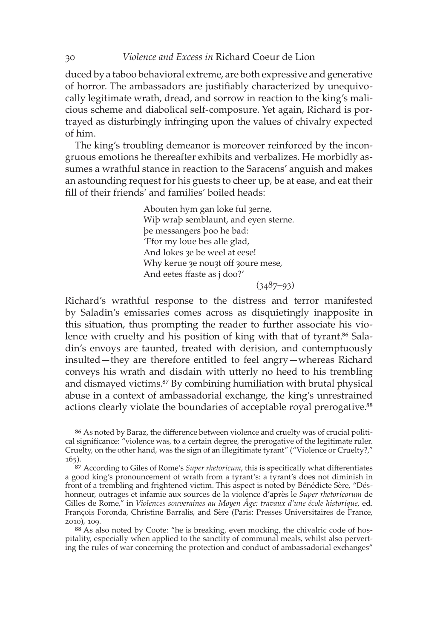#### 30 *Violence and Excess in* Richard Coeur de Lion

duced by a taboo behavioral extreme, are both expressive and generative of horror. The ambassadors are justifiably characterized by unequivocally legitimate wrath, dread, and sorrow in reaction to the king's malicious scheme and diabolical self-composure. Yet again, Richard is portrayed as disturbingly infringing upon the values of chivalry expected of him.

The king's troubling demeanor is moreover reinforced by the incongruous emotions he thereafter exhibits and verbalizes. He morbidly assumes a wrathful stance in reaction to the Saracens' anguish and makes an astounding request for his guests to cheer up, be at ease, and eat their fill of their friends' and families' boiled heads:

> Abouten hym gan loke ful zerne, Wiþ wraþ semblaunt, and eyen sterne. þe messangers þoo he bad: 'Ffor my loue bes alle glad, And lokes 3e be weel at eese! Why kerue  $3e$  nou $3t$  off  $30$ ure mese, And eetes ffaste as j doo?'

> > $(3487 - 93)$

Richard's wrathful response to the distress and terror manifested by Saladin's emissaries comes across as disquietingly inapposite in this situation, thus prompting the reader to further associate his violence with cruelty and his position of king with that of tyrant.<sup>86</sup> Saladin's envoys are taunted, treated with derision, and contemptuously insulted—they are therefore entitled to feel angry—whereas Richard conveys his wrath and disdain with utterly no heed to his trembling and dismayed victims.<sup>87</sup> By combining humiliation with brutal physical abuse in a context of ambassadorial exchange, the king's unrestrained actions clearly violate the boundaries of acceptable royal prerogative.<sup>88</sup>

86 As noted by Baraz, the difference between violence and cruelty was of crucial political significance: "violence was, to a certain degree, the prerogative of the legitimate ruler. Cruelty, on the other hand, was the sign of an illegitimate tyrant" ("Violence or Cruelty?," 165).

87 According to Giles of Rome's *Super rhetoricum*, this is specifically what differentiates a good king's pronouncement of wrath from a tyrant's: a tyrant's does not diminish in front of a trembling and frightened victim. This aspect is noted by Bénédicte Sère, "Déshonneur, outrages et infamie aux sources de la violence d'après le *Super rhetoricorum* de Gilles de Rome," in *Violences souveraines au Moyen Âge: travaux d'une école historique*, ed. François Foronda, Christine Barralis, and Sère (Paris: Presses Universitaires de France, 2010), 109.

88 As also noted by Coote: "he is breaking, even mocking, the chivalric code of hospitality, especially when applied to the sanctity of communal meals, whilst also perverting the rules of war concerning the protection and conduct of ambassadorial exchanges"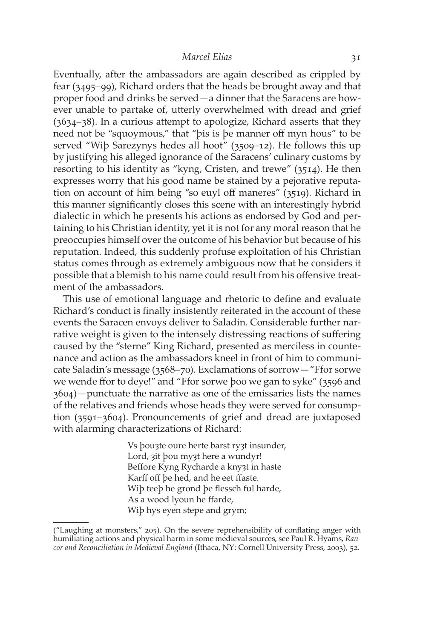Eventually, after the ambassadors are again described as crippled by fear (3495–99), Richard orders that the heads be brought away and that proper food and drinks be served—a dinner that the Saracens are however unable to partake of, utterly overwhelmed with dread and grief (3634–38). In a curious attempt to apologize, Richard asserts that they need not be "squoymous," that "þis is þe manner off myn hous" to be served "Wiþ Sarezynys hedes all hoot" (3509–12). He follows this up by justifying his alleged ignorance of the Saracens' culinary customs by resorting to his identity as "kyng, Cristen, and trewe" (3514). He then expresses worry that his good name be stained by a pejorative reputation on account of him being "so euyl off maneres" (3519). Richard in this manner significantly closes this scene with an interestingly hybrid dialectic in which he presents his actions as endorsed by God and pertaining to his Christian identity, yet it is not for any moral reason that he preoccupies himself over the outcome of his behavior but because of his reputation. Indeed, this suddenly profuse exploitation of his Christian status comes through as extremely ambiguous now that he considers it possible that a blemish to his name could result from his offensive treatment of the ambassadors.

This use of emotional language and rhetoric to define and evaluate Richard's conduct is finally insistently reiterated in the account of these events the Saracen envoys deliver to Saladin. Considerable further narrative weight is given to the intensely distressing reactions of suffering caused by the "sterne" King Richard, presented as merciless in countenance and action as the ambassadors kneel in front of him to communicate Saladin's message (3568–70). Exclamations of sorrow—"Ffor sorwe we wende ffor to deye!" and "Ffor sorwe þoo we gan to syke" (3596 and 3604)—punctuate the narrative as one of the emissaries lists the names of the relatives and friends whose heads they were served for consumption (3591–3604). Pronouncements of grief and dread are juxtaposed with alarming characterizations of Richard:

> Vs þouȝte oure herte barst ryȝt insunder, Lord, 3it þou my3t here a wundyr! Beffore Kyng Rycharde a knyȝt in haste Karff off þe hed, and he eet ffaste. Wiþ teeþ he grond þe flessch ful harde, As a wood lyoun he ffarde, Wiþ hys eyen stepe and grym;

<sup>(&</sup>quot;Laughing at monsters," 205). On the severe reprehensibility of conflating anger with humiliating actions and physical harm in some medieval sources, see Paul R. Hyams, *Rancor and Reconciliation in Medieval England* (Ithaca, NY: Cornell University Press, 2003), 52.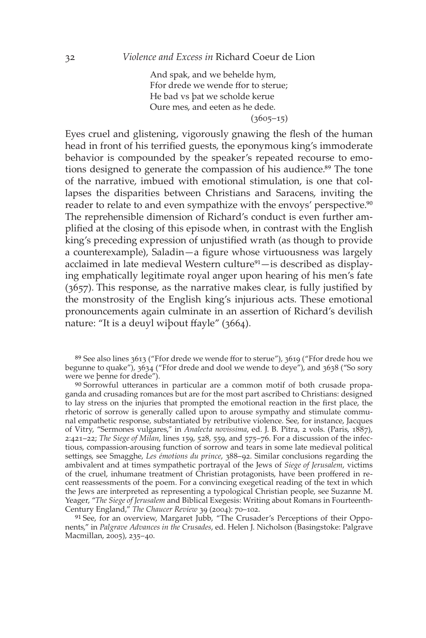And spak, and we behelde hym, Ffor drede we wende ffor to sterue; He bad vs þat we scholde kerue Oure mes, and eeten as he dede.

#### $(3605 - 15)$

Eyes cruel and glistening, vigorously gnawing the flesh of the human head in front of his terrified guests, the eponymous king's immoderate behavior is compounded by the speaker's repeated recourse to emotions designed to generate the compassion of his audience.<sup>89</sup> The tone of the narrative, imbued with emotional stimulation, is one that collapses the disparities between Christians and Saracens, inviting the reader to relate to and even sympathize with the envoys' perspective.<sup>90</sup> The reprehensible dimension of Richard's conduct is even further amplified at the closing of this episode when, in contrast with the English king's preceding expression of unjustified wrath (as though to provide a counterexample), Saladin—a figure whose virtuousness was largely acclaimed in late medieval Western culture<sup>91</sup>—is described as displaying emphatically legitimate royal anger upon hearing of his men's fate (3657). This response, as the narrative makes clear, is fully justified by the monstrosity of the English king's injurious acts. These emotional pronouncements again culminate in an assertion of Richard's devilish nature: "It is a deuyl wiþout ffayle" (3664).

89 See also lines 3613 ("Ffor drede we wende ffor to sterue"), 3619 ("Ffor drede hou we begunne to quake"), 3634 ("Ffor drede and dool we wende to deye"), and 3638 ("So sory were we þenne for drede").

90 Sorrowful utterances in particular are a common motif of both crusade propaganda and crusading romances but are for the most part ascribed to Christians: designed to lay stress on the injuries that prompted the emotional reaction in the first place, the rhetoric of sorrow is generally called upon to arouse sympathy and stimulate communal empathetic response, substantiated by retributive violence. See, for instance, Jacques of Vitry, "Sermones vulgares," in *Analecta novissima*, ed. J. B. Pitra, 2 vols. (Paris, 1887), 2:421–22; *The Siege of Milan*, lines 159, 528, 559, and 575–76. For a discussion of the infectious, compassion-arousing function of sorrow and tears in some late medieval political settings, see Smagghe, *Les émotions du prince*, 388–92. Similar conclusions regarding the ambivalent and at times sympathetic portrayal of the Jews of *Siege of Jerusalem*, victims of the cruel, inhumane treatment of Christian protagonists, have been proffered in recent reassessments of the poem. For a convincing exegetical reading of the text in which the Jews are interpreted as representing a typological Christian people, see Suzanne M. Yeager, "*The Siege of Jerusalem* and Biblical Exegesis: Writing about Romans in Fourteenth-Century England," *The Chaucer Review* 39 (2004): 70–102.

91 See, for an overview, Margaret Jubb, "The Crusader's Perceptions of their Opponents," in *Palgrave Advances in the Crusades*, ed. Helen J. Nicholson (Basingstoke: Palgrave Macmillan, 2005), 235–40.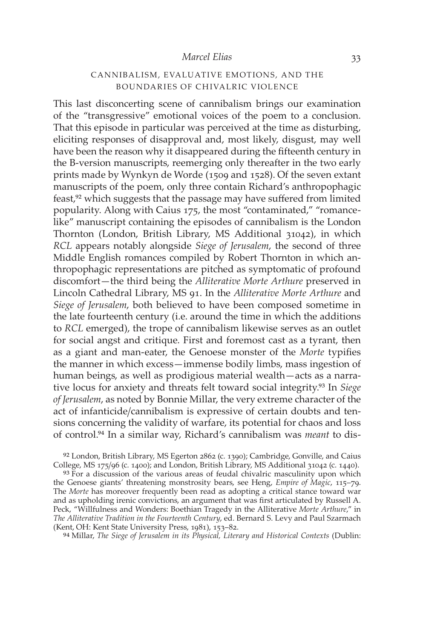#### CANNIBALISM, EVALUATIVE EMOTIONS, AND THE BOUNDARIES OF CHIVALRIC VIOLENCE

This last disconcerting scene of cannibalism brings our examination of the "transgressive" emotional voices of the poem to a conclusion. That this episode in particular was perceived at the time as disturbing, eliciting responses of disapproval and, most likely, disgust, may well have been the reason why it disappeared during the fifteenth century in the B-version manuscripts, reemerging only thereafter in the two early prints made by Wynkyn de Worde (1509 and 1528). Of the seven extant manuscripts of the poem, only three contain Richard's anthropophagic feast,<sup>92</sup> which suggests that the passage may have suffered from limited popularity. Along with Caius 175, the most "contaminated," "romancelike" manuscript containing the episodes of cannibalism is the London Thornton (London, British Library, MS Additional 31042), in which *RCL* appears notably alongside *Siege of Jerusalem*, the second of three Middle English romances compiled by Robert Thornton in which anthropophagic representations are pitched as symptomatic of profound discomfort—the third being the *Alliterative Morte Arthure* preserved in Lincoln Cathedral Library, MS 91. In the *Alliterative Morte Arthure* and *Siege of Jerusalem*, both believed to have been composed sometime in the late fourteenth century (i.e. around the time in which the additions to *RCL* emerged), the trope of cannibalism likewise serves as an outlet for social angst and critique. First and foremost cast as a tyrant, then as a giant and man-eater, the Genoese monster of the *Morte* typifies the manner in which excess—immense bodily limbs, mass ingestion of human beings, as well as prodigious material wealth—acts as a narrative locus for anxiety and threats felt toward social integrity.93 In *Siege of Jerusalem*, as noted by Bonnie Millar, the very extreme character of the act of infanticide/cannibalism is expressive of certain doubts and tensions concerning the validity of warfare, its potential for chaos and loss of control.94 In a similar way, Richard's cannibalism was *meant* to dis-

92 London, British Library, MS Egerton 2862 (c. 1390); Cambridge, Gonville, and Caius College, MS 175/96 (c. 1400); and London, British Library, MS Additional 31042 (c. 1440).

93 For a discussion of the various areas of feudal chivalric masculinity upon which the Genoese giants' threatening monstrosity bears, see Heng, *Empire of Magic*, 115–79. The *Morte* has moreover frequently been read as adopting a critical stance toward war and as upholding irenic convictions, an argument that was first articulated by Russell A. Peck, "Willfulness and Wonders: Boethian Tragedy in the Alliterative *Morte Arthure*," in *The Alliterative Tradition in the Fourteenth Century*, ed. Bernard S. Levy and Paul Szarmach (Kent, OH: Kent State University Press, 1981), 153–82.

94 Millar, *The Siege of Jerusalem in its Physical, Literary and Historical Contexts* (Dublin: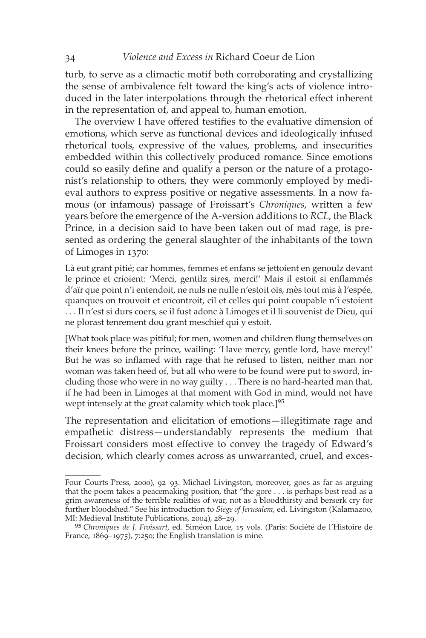#### 34 *Violence and Excess in* Richard Coeur de Lion

turb, to serve as a climactic motif both corroborating and crystallizing the sense of ambivalence felt toward the king's acts of violence introduced in the later interpolations through the rhetorical effect inherent in the representation of, and appeal to, human emotion.

The overview I have offered testifies to the evaluative dimension of emotions, which serve as functional devices and ideologically infused rhetorical tools, expressive of the values, problems, and insecurities embedded within this collectively produced romance. Since emotions could so easily define and qualify a person or the nature of a protagonist's relationship to others, they were commonly employed by medieval authors to express positive or negative assessments. In a now famous (or infamous) passage of Froissart's *Chroniques*, written a few years before the emergence of the A-version additions to *RCL*, the Black Prince, in a decision said to have been taken out of mad rage, is presented as ordering the general slaughter of the inhabitants of the town of Limoges in 1370:

Là eut grant pitié; car hommes, femmes et enfans se jettoient en genoulz devant le prince et crioient: 'Merci, gentilz sires, merci!' Mais il estoit si enflammés d'aïr que point n'i entendoit, ne nuls ne nulle n'estoit oïs, mès tout mis à l'espée, quanques on trouvoit et encontroit, cil et celles qui point coupable n'i estoient . . . Il n'est si durs coers, se il fust adonc à Limoges et il li souvenist de Dieu, qui ne plorast tenrement dou grant meschief qui y estoit.

[What took place was pitiful; for men, women and children flung themselves on their knees before the prince, wailing: 'Have mercy, gentle lord, have mercy!' But he was so inflamed with rage that he refused to listen, neither man nor woman was taken heed of, but all who were to be found were put to sword, including those who were in no way guilty . . . There is no hard-hearted man that, if he had been in Limoges at that moment with God in mind, would not have wept intensely at the great calamity which took place.]<sup>95</sup>

The representation and elicitation of emotions—illegitimate rage and empathetic distress—understandably represents the medium that Froissart considers most effective to convey the tragedy of Edward's decision, which clearly comes across as unwarranted, cruel, and exces-

Four Courts Press, 2000), 92–93. Michael Livingston, moreover, goes as far as arguing that the poem takes a peacemaking position, that "the gore . . . is perhaps best read as a grim awareness of the terrible realities of war, not as a bloodthirsty and berserk cry for further bloodshed." See his introduction to *Siege of Jerusalem*, ed. Livingston (Kalamazoo, MI: Medieval Institute Publications, 2004), 28–29.

<sup>95</sup>*Chroniques de J. Froissart*, ed. Siméon Luce, 15 vols. (Paris: Société de l'Histoire de France, 1869–1975), 7:250; the English translation is mine.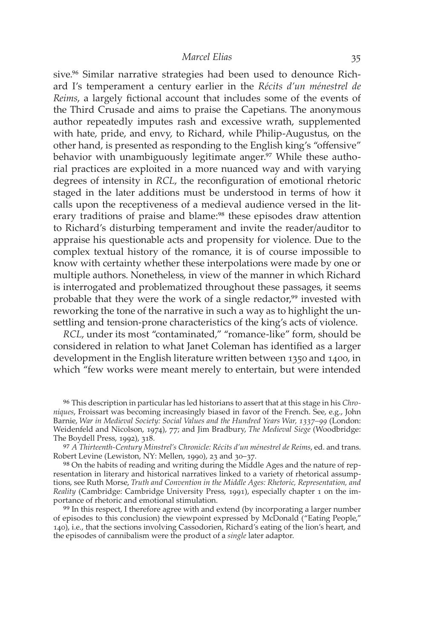sive.<sup>96</sup> Similar narrative strategies had been used to denounce Richard I's temperament a century earlier in the *Récits d'un ménestrel de Reims*, a largely fictional account that includes some of the events of the Third Crusade and aims to praise the Capetians. The anonymous author repeatedly imputes rash and excessive wrath, supplemented with hate, pride, and envy, to Richard, while Philip-Augustus, on the other hand, is presented as responding to the English king's "offensive" behavior with unambiguously legitimate anger.<sup>97</sup> While these authorial practices are exploited in a more nuanced way and with varying degrees of intensity in *RCL*, the reconfiguration of emotional rhetoric staged in the later additions must be understood in terms of how it calls upon the receptiveness of a medieval audience versed in the literary traditions of praise and blame:<sup>98</sup> these episodes draw attention to Richard's disturbing temperament and invite the reader/auditor to appraise his questionable acts and propensity for violence. Due to the complex textual history of the romance, it is of course impossible to know with certainty whether these interpolations were made by one or multiple authors. Nonetheless, in view of the manner in which Richard is interrogated and problematized throughout these passages, it seems probable that they were the work of a single redactor,<sup>99</sup> invested with reworking the tone of the narrative in such a way as to highlight the unsettling and tension-prone characteristics of the king's acts of violence.

*RCL*, under its most "contaminated," "romance-like" form, should be considered in relation to what Janet Coleman has identified as a larger development in the English literature written between 1350 and 1400, in which "few works were meant merely to entertain, but were intended

96 This description in particular has led historians to assert that at this stage in his *Chroniques*, Froissart was becoming increasingly biased in favor of the French. See, e.g., John Barnie, *War in Medieval Society: Social Values and the Hundred Years War, 1337–99* (London: Weidenfeld and Nicolson, 1974), 77; and Jim Bradbury, *The Medieval Siege* (Woodbridge: The Boydell Press, 1992), 318.

97 *A Thirteenth-Century Minstrel's Chronicle: Récits d'un ménestrel de Reims*, ed. and trans. Robert Levine (Lewiston, NY: Mellen, 1990), 23 and 30–37.

98 On the habits of reading and writing during the Middle Ages and the nature of representation in literary and historical narratives linked to a variety of rhetorical assumptions, see Ruth Morse, *Truth and Convention in the Middle Ages: Rhetoric, Representation, and Reality* (Cambridge: Cambridge University Press, 1991), especially chapter 1 on the importance of rhetoric and emotional stimulation.

99 In this respect, I therefore agree with and extend (by incorporating a larger number of episodes to this conclusion) the viewpoint expressed by McDonald ("Eating People," 140), i.e., that the sections involving Cassodorien, Richard's eating of the lion's heart, and the episodes of cannibalism were the product of a *single* later adaptor.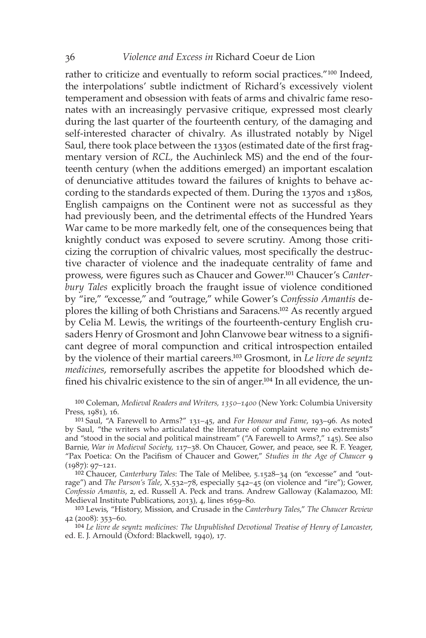rather to criticize and eventually to reform social practices."<sup>100</sup> Indeed, the interpolations' subtle indictment of Richard's excessively violent temperament and obsession with feats of arms and chivalric fame resonates with an increasingly pervasive critique, expressed most clearly during the last quarter of the fourteenth century, of the damaging and self-interested character of chivalry. As illustrated notably by Nigel Saul, there took place between the 1330s (estimated date of the first fragmentary version of *RCL*, the Auchinleck MS) and the end of the fourteenth century (when the additions emerged) an important escalation of denunciative attitudes toward the failures of knights to behave according to the standards expected of them. During the 1370s and 1380s, English campaigns on the Continent were not as successful as they had previously been, and the detrimental effects of the Hundred Years War came to be more markedly felt, one of the consequences being that knightly conduct was exposed to severe scrutiny. Among those criticizing the corruption of chivalric values, most specifically the destructive character of violence and the inadequate centrality of fame and prowess, were figures such as Chaucer and Gower.101 Chaucer's *Canterbury Tales* explicitly broach the fraught issue of violence conditioned by "ire," "excesse," and "outrage," while Gower's *Confessio Amantis* deplores the killing of both Christians and Saracens.102 As recently argued by Celia M. Lewis, the writings of the fourteenth-century English crusaders Henry of Grosmont and John Clanvowe bear witness to a significant degree of moral compunction and critical introspection entailed by the violence of their martial careers.103 Grosmont, in *Le livre de seyntz medicines*, remorsefully ascribes the appetite for bloodshed which defined his chivalric existence to the sin of anger.<sup>104</sup> In all evidence, the un-

100 Coleman, *Medieval Readers and Writers, 1350–1400* (New York: Columbia University Press, 1981), 16.

101 Saul, "A Farewell to Arms?" 131–45, and *For Honour and Fame*, 193–96. As noted by Saul, "the writers who articulated the literature of complaint were no extremists" and "stood in the social and political mainstream" ("A Farewell to Arms?," 145). See also Barnie, *War in Medieval Society*, 117–38. On Chaucer, Gower, and peace, see R. F. Yeager, "Pax Poetica: On the Pacifism of Chaucer and Gower," *Studies in the Age of Chaucer* 9 (1987): 97–121.

102 Chaucer, *Canterbury Tales*: The Tale of Melibee, 5.1528–34 (on "excesse" and "outrage") and *The Parson's Tale*, X.532–78, especially 542–45 (on violence and "ire"); Gower, *Confessio Amantis*, 2, ed. Russell A. Peck and trans. Andrew Galloway (Kalamazoo, MI: Medieval Institute Publications, 2013), 4, lines 1659–80.

103 Lewis, "History, Mission, and Crusade in the *Canterbury Tales*," *The Chaucer Review* 42 (2008): 353–60.

104 *Le livre de seyntz medicines: The Unpublished Devotional Treatise of Henry of Lancaster*, ed. E. J. Arnould (Oxford: Blackwell, 1940), 17.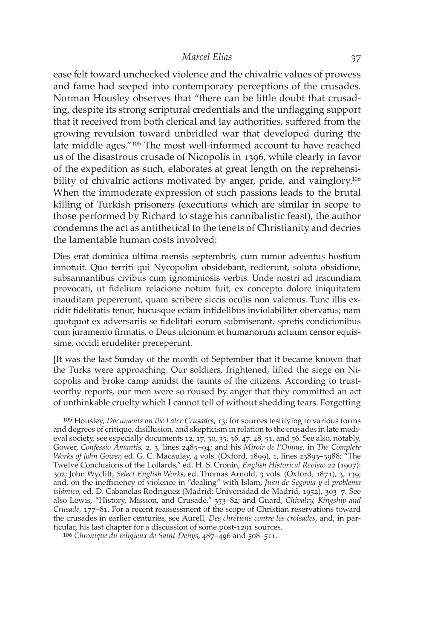ease felt toward unchecked violence and the chivalric values of prowess and fame had seeped into contemporary perceptions of the crusades. Norman Housley observes that "there can be little doubt that crusading, despite its strong scriptural credentials and the unflagging support that it received from both clerical and lay authorities, suffered from the growing revulsion toward unbridled war that developed during the late middle ages."<sup>105</sup> The most well-informed account to have reached us of the disastrous crusade of Nicopolis in 1396, while clearly in favor of the expedition as such, elaborates at great length on the reprehensibility of chivalric actions motivated by anger, pride, and vainglory.<sup>106</sup> When the immoderate expression of such passions leads to the brutal killing of Turkish prisoners (executions which are similar in scope to those performed by Richard to stage his cannibalistic feast), the author condemns the act as antithetical to the tenets of Christianity and decries the lamentable human costs involved:

Dies erat dominica ultima mensis septembris, cum rumor adventus hostium innotuit. Quo territi qui Nycopolim obsidebant, redierunt, soluta obsidione, subsannantibus civibus cum ignominiosis verbis. Unde nostri ad iracundiam provocati, ut fidelium relacione notum fuit, ex concepto dolore iniquitatem inauditam pepererunt, quam scribere siccis oculis non valemus. Tunc illis excidit fidelitatis tenor, hucusque eciam infidelibus inviolabiliter obervatus; nam quotquot ex adversariis se fidelitati eorum submiserant, spretis condicionibus cum juramento firmatis, o Deus ulcionum et humanorum actuum censor equissime, occidi erudeliter preceperunt.

[It was the last Sunday of the month of September that it became known that the Turks were approaching. Our soldiers, frightened, lifted the siege on Nicopolis and broke camp amidst the taunts of the citizens. According to trustworthy reports, our men were so roused by anger that they committed an act of unthinkable cruelty which I cannot tell of without shedding tears. Forgetting

105 Housley, *Documents on the Later Crusades*, 13; for sources testifying to various forms and degrees of critique, disillusion, and skepticism in relation to the crusades in late medieval society, see especially documents 12, 17, 30, 35, 36, 47, 48, 51, and 56. See also, notably, Gower, *Confessio Amantis*, 2, 3, lines 2485–94; and his *Miroir de l'Omme*, in *The Complete Works of John Gower*, ed. G. C. Macaulay, 4 vols. (Oxford, 1899), 1, lines 23893–3988; "The Twelve Conclusions of the Lollards," ed. H. S. Cronin, *English Historical Review* 22 (1907): 302; John Wycliff, *Select English Works*, ed. Thomas Arnold, 3 vols. (Oxford, 1871), 3, 139; and, on the inefficiency of violence in "dealing" with Islam, *Juan de Segovia y el problema islámico*, ed. D. Cabanelas Rodriguez (Madrid: Universidad de Madrid, 1952), 303–7. See also Lewis, "History, Mission, and Crusade," 353–82; and Guard, *Chivalry, Kingship and Crusade*, 177–81. For a recent reassessment of the scope of Christian reservations toward the crusades in earlier centuries, see Aurell, *Des chrétiens contre les croisades*, and, in particular, his last chapter for a discussion of some post-1291 sources.

106 *Chronique du religieux de Saint-Denys*, 487–496 and 508–511.